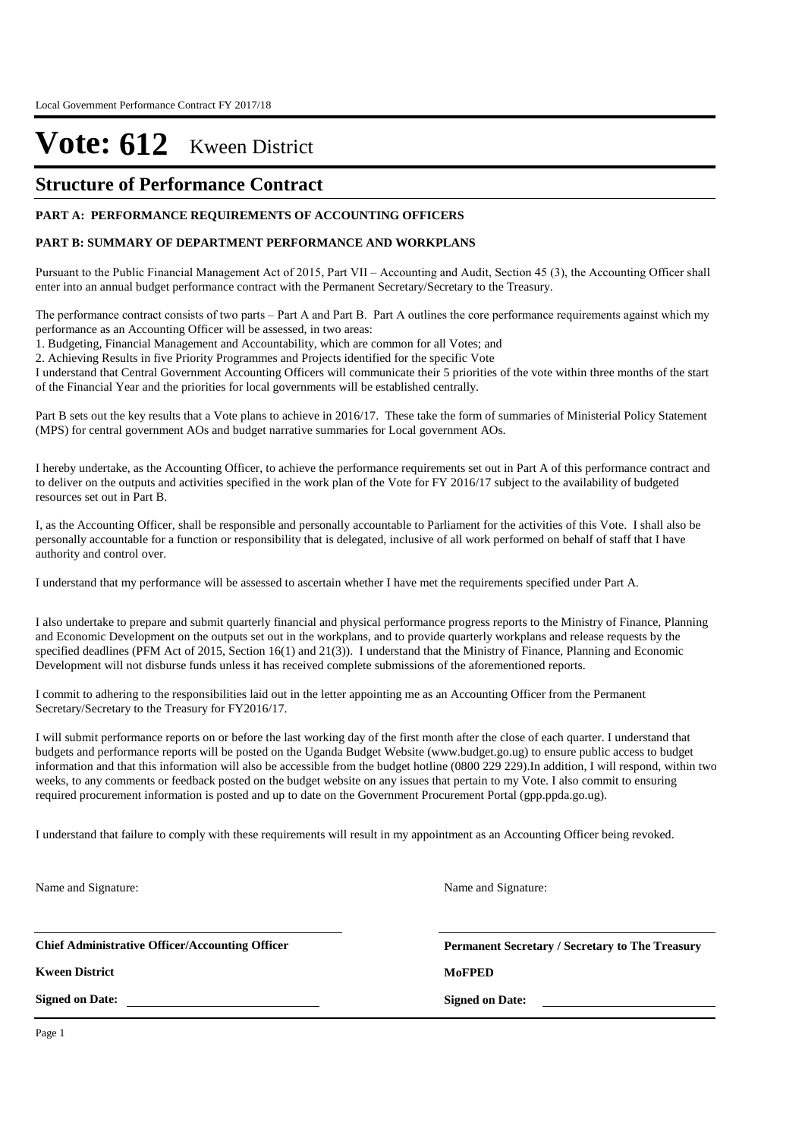## **Structure of Performance Contract**

#### **PART A: PERFORMANCE REQUIREMENTS OF ACCOUNTING OFFICERS**

#### **PART B: SUMMARY OF DEPARTMENT PERFORMANCE AND WORKPLANS**

Pursuant to the Public Financial Management Act of 2015, Part VII – Accounting and Audit, Section 45 (3), the Accounting Officer shall enter into an annual budget performance contract with the Permanent Secretary/Secretary to the Treasury.

The performance contract consists of two parts – Part A and Part B. Part A outlines the core performance requirements against which my performance as an Accounting Officer will be assessed, in two areas:

1. Budgeting, Financial Management and Accountability, which are common for all Votes; and

2. Achieving Results in five Priority Programmes and Projects identified for the specific Vote

I understand that Central Government Accounting Officers will communicate their 5 priorities of the vote within three months of the start of the Financial Year and the priorities for local governments will be established centrally.

Part B sets out the key results that a Vote plans to achieve in 2016/17. These take the form of summaries of Ministerial Policy Statement (MPS) for central government AOs and budget narrative summaries for Local government AOs.

I hereby undertake, as the Accounting Officer, to achieve the performance requirements set out in Part A of this performance contract and to deliver on the outputs and activities specified in the work plan of the Vote for FY 2016/17 subject to the availability of budgeted resources set out in Part B.

I, as the Accounting Officer, shall be responsible and personally accountable to Parliament for the activities of this Vote. I shall also be personally accountable for a function or responsibility that is delegated, inclusive of all work performed on behalf of staff that I have authority and control over.

I understand that my performance will be assessed to ascertain whether I have met the requirements specified under Part A.

I also undertake to prepare and submit quarterly financial and physical performance progress reports to the Ministry of Finance, Planning and Economic Development on the outputs set out in the workplans, and to provide quarterly workplans and release requests by the specified deadlines (PFM Act of 2015, Section 16(1) and 21(3)). I understand that the Ministry of Finance, Planning and Economic Development will not disburse funds unless it has received complete submissions of the aforementioned reports.

I commit to adhering to the responsibilities laid out in the letter appointing me as an Accounting Officer from the Permanent Secretary/Secretary to the Treasury for FY2016/17.

I will submit performance reports on or before the last working day of the first month after the close of each quarter. I understand that budgets and performance reports will be posted on the Uganda Budget Website (www.budget.go.ug) to ensure public access to budget information and that this information will also be accessible from the budget hotline (0800 229 229).In addition, I will respond, within two weeks, to any comments or feedback posted on the budget website on any issues that pertain to my Vote. I also commit to ensuring required procurement information is posted and up to date on the Government Procurement Portal (gpp.ppda.go.ug).

I understand that failure to comply with these requirements will result in my appointment as an Accounting Officer being revoked.

Name and Signature:

Name and Signature:

**Chief Administrative Officer/Accounting Officer**

**Kween District MoFPED**

**Signed on Date:**

**Permanent Secretary / Secretary to The Treasury**

**Signed on Date:**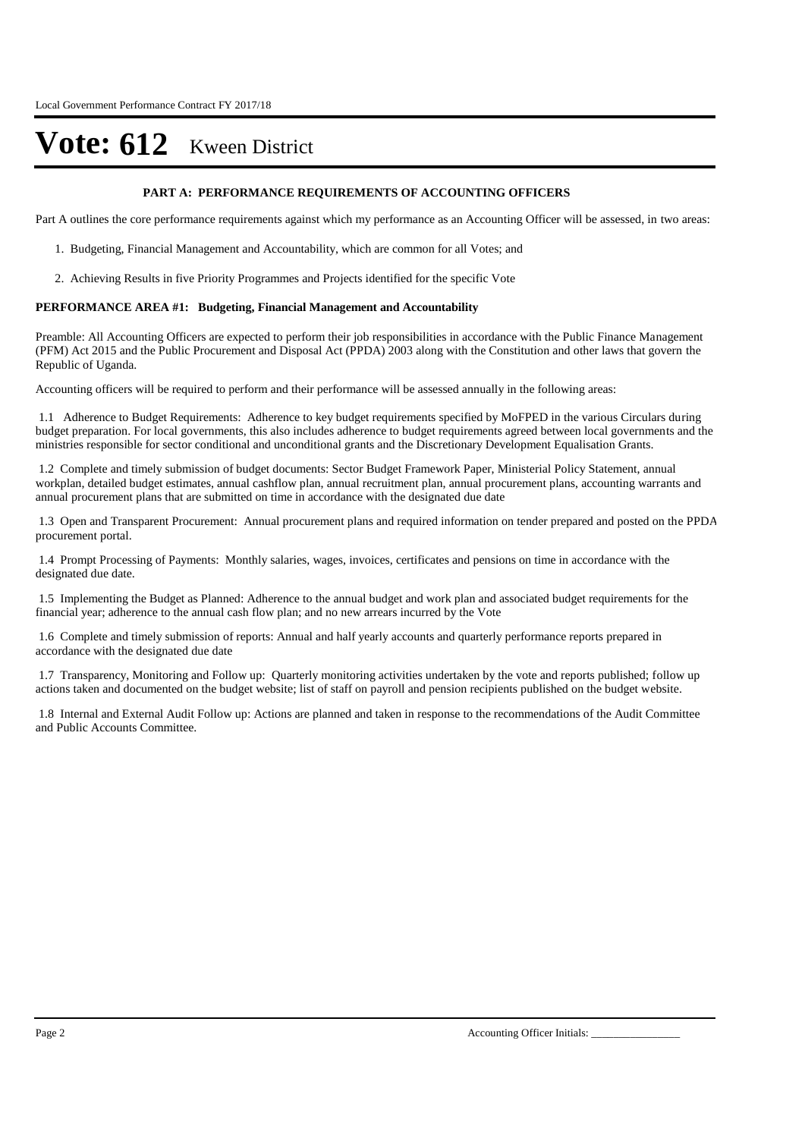#### **PART A: PERFORMANCE REQUIREMENTS OF ACCOUNTING OFFICERS**

Part A outlines the core performance requirements against which my performance as an Accounting Officer will be assessed, in two areas:

- 1. Budgeting, Financial Management and Accountability, which are common for all Votes; and
- 2. Achieving Results in five Priority Programmes and Projects identified for the specific Vote

#### **PERFORMANCE AREA #1: Budgeting, Financial Management and Accountability**

Preamble: All Accounting Officers are expected to perform their job responsibilities in accordance with the Public Finance Management (PFM) Act 2015 and the Public Procurement and Disposal Act (PPDA) 2003 along with the Constitution and other laws that govern the Republic of Uganda.

Accounting officers will be required to perform and their performance will be assessed annually in the following areas:

1.1 Adherence to Budget Requirements: Adherence to key budget requirements specified by MoFPED in the various Circulars during budget preparation. For local governments, this also includes adherence to budget requirements agreed between local governments and the ministries responsible for sector conditional and unconditional grants and the Discretionary Development Equalisation Grants.

1.2 Complete and timely submission of budget documents: Sector Budget Framework Paper, Ministerial Policy Statement, annual workplan, detailed budget estimates, annual cashflow plan, annual recruitment plan, annual procurement plans, accounting warrants and annual procurement plans that are submitted on time in accordance with the designated due date

1.3 Open and Transparent Procurement: Annual procurement plans and required information on tender prepared and posted on the PPDA procurement portal.

1.4 Prompt Processing of Payments: Monthly salaries, wages, invoices, certificates and pensions on time in accordance with the designated due date.

1.5 Implementing the Budget as Planned: Adherence to the annual budget and work plan and associated budget requirements for the financial year; adherence to the annual cash flow plan; and no new arrears incurred by the Vote

1.6 Complete and timely submission of reports: Annual and half yearly accounts and quarterly performance reports prepared in accordance with the designated due date

1.7 Transparency, Monitoring and Follow up: Quarterly monitoring activities undertaken by the vote and reports published; follow up actions taken and documented on the budget website; list of staff on payroll and pension recipients published on the budget website.

1.8 Internal and External Audit Follow up: Actions are planned and taken in response to the recommendations of the Audit Committee and Public Accounts Committee.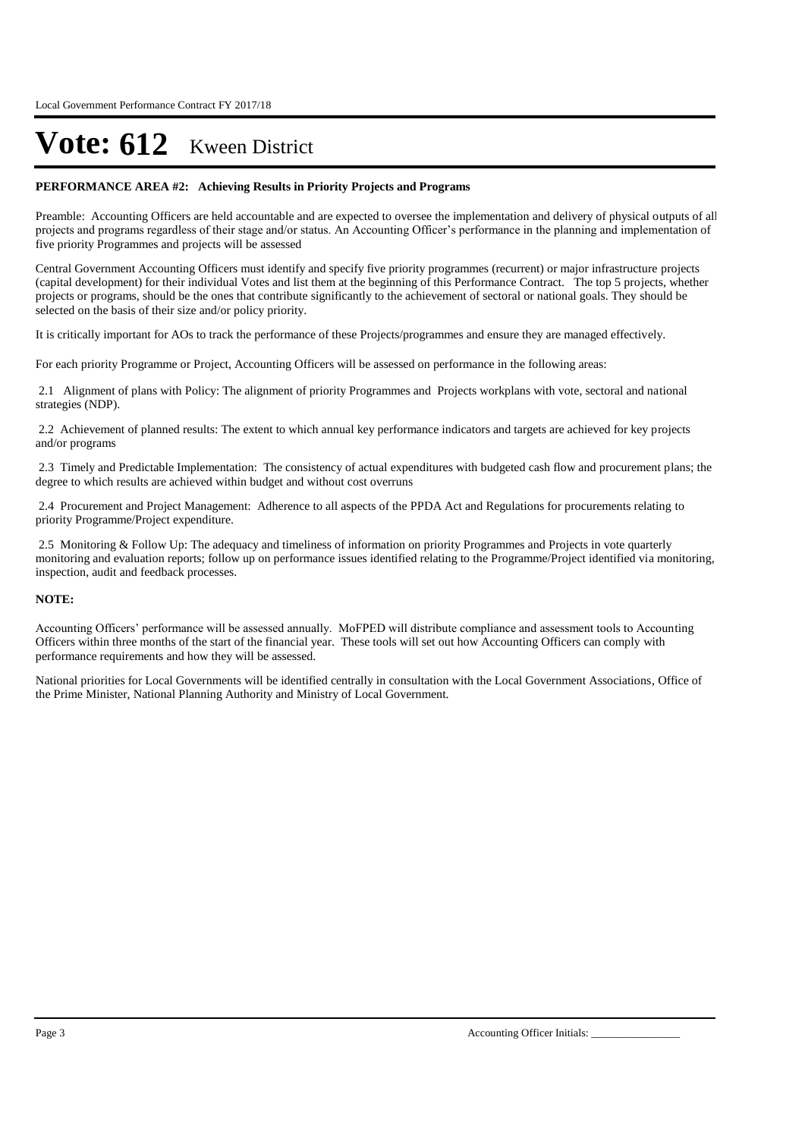#### **PERFORMANCE AREA #2: Achieving Results in Priority Projects and Programs**

Preamble: Accounting Officers are held accountable and are expected to oversee the implementation and delivery of physical outputs of all projects and programs regardless of their stage and/or status. An Accounting Officer's performance in the planning and implementation of five priority Programmes and projects will be assessed

Central Government Accounting Officers must identify and specify five priority programmes (recurrent) or major infrastructure projects (capital development) for their individual Votes and list them at the beginning of this Performance Contract. The top 5 projects, whether projects or programs, should be the ones that contribute significantly to the achievement of sectoral or national goals. They should be selected on the basis of their size and/or policy priority.

It is critically important for AOs to track the performance of these Projects/programmes and ensure they are managed effectively.

For each priority Programme or Project, Accounting Officers will be assessed on performance in the following areas:

2.1 Alignment of plans with Policy: The alignment of priority Programmes and Projects workplans with vote, sectoral and national strategies (NDP).

2.2 Achievement of planned results: The extent to which annual key performance indicators and targets are achieved for key projects and/or programs

2.3 Timely and Predictable Implementation: The consistency of actual expenditures with budgeted cash flow and procurement plans; the degree to which results are achieved within budget and without cost overruns

2.4 Procurement and Project Management: Adherence to all aspects of the PPDA Act and Regulations for procurements relating to priority Programme/Project expenditure.

2.5 Monitoring & Follow Up: The adequacy and timeliness of information on priority Programmes and Projects in vote quarterly monitoring and evaluation reports; follow up on performance issues identified relating to the Programme/Project identified via monitoring, inspection, audit and feedback processes.

#### **NOTE:**

Accounting Officers' performance will be assessed annually. MoFPED will distribute compliance and assessment tools to Accounting Officers within three months of the start of the financial year. These tools will set out how Accounting Officers can comply with performance requirements and how they will be assessed.

National priorities for Local Governments will be identified centrally in consultation with the Local Government Associations, Office of the Prime Minister, National Planning Authority and Ministry of Local Government.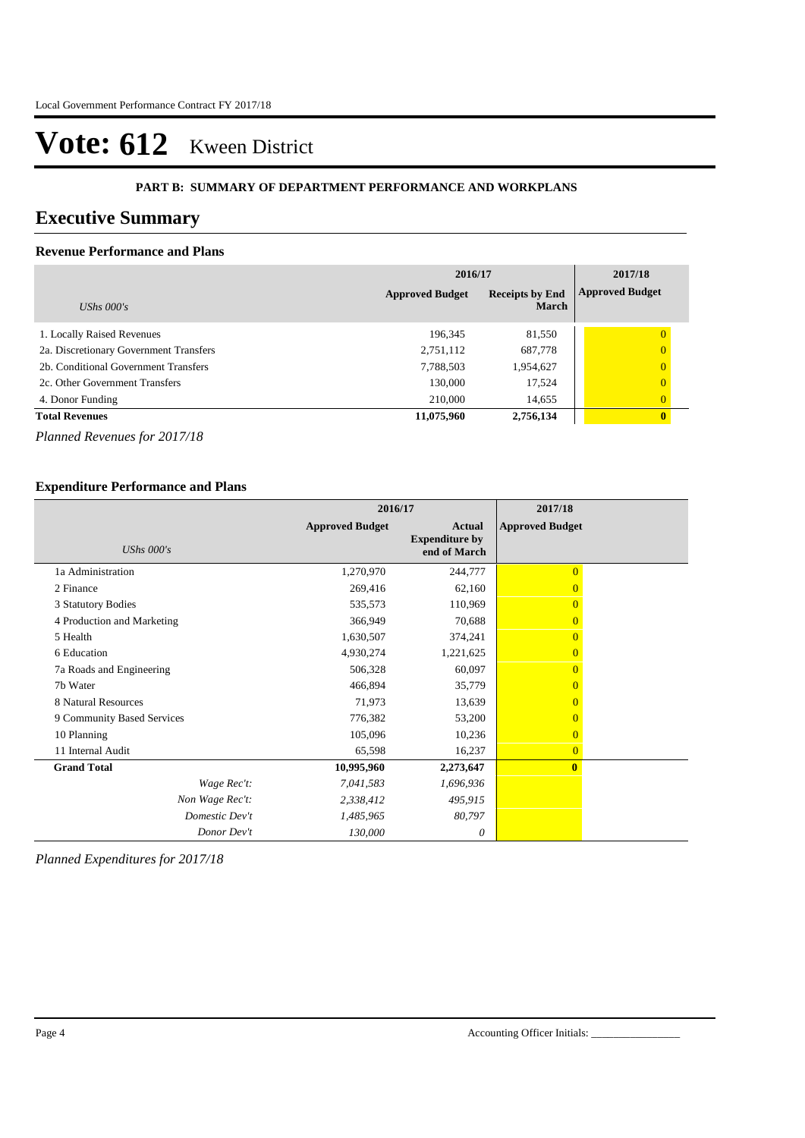#### **PART B: SUMMARY OF DEPARTMENT PERFORMANCE AND WORKPLANS**

## **Executive Summary**

## **Revenue Performance and Plans**

|                                        | 2016/17                | 2017/18                                |                        |
|----------------------------------------|------------------------|----------------------------------------|------------------------|
| UShs $000's$                           | <b>Approved Budget</b> | <b>Receipts by End</b><br><b>March</b> | <b>Approved Budget</b> |
| 1. Locally Raised Revenues             | 196,345                | 81,550                                 | 0                      |
| 2a. Discretionary Government Transfers | 2,751,112              | 687,778                                | $\overline{0}$         |
| 2b. Conditional Government Transfers   | 7,788,503              | 1,954,627                              | $\overline{0}$         |
| 2c. Other Government Transfers         | 130,000                | 17,524                                 | $\overline{0}$         |
| 4. Donor Funding                       | 210,000                | 14,655                                 | $\overline{0}$         |
| <b>Total Revenues</b>                  | 11,075,960             | 2,756,134                              | $\mathbf{0}$           |

*Planned Revenues for 2017/18*

### **Expenditure Performance and Plans**

|                            | 2016/17                |                                                        | 2017/18                |
|----------------------------|------------------------|--------------------------------------------------------|------------------------|
| UShs $000's$               | <b>Approved Budget</b> | <b>Actual</b><br><b>Expenditure by</b><br>end of March | <b>Approved Budget</b> |
| 1a Administration          | 1,270,970              | 244,777                                                | $\overline{0}$         |
| 2 Finance                  | 269,416                | 62,160                                                 |                        |
| 3 Statutory Bodies         | 535,573                | 110,969                                                | $\Omega$               |
| 4 Production and Marketing | 366,949                | 70,688                                                 | $\Omega$               |
| 5 Health                   | 1,630,507              | 374,241                                                | $\Omega$               |
| 6 Education                | 4,930,274              | 1,221,625                                              | $\Omega$               |
| 7a Roads and Engineering   | 506,328                | 60,097                                                 | $\Omega$               |
| 7b Water                   | 466,894                | 35,779                                                 | $\overline{0}$         |
| 8 Natural Resources        | 71,973                 | 13,639                                                 | $\Omega$               |
| 9 Community Based Services | 776,382                | 53,200                                                 | $\overline{0}$         |
| 10 Planning                | 105,096                | 10,236                                                 | $\Omega$               |
| 11 Internal Audit          | 65,598                 | 16,237                                                 | $\overline{0}$         |
| <b>Grand Total</b>         | 10,995,960             | 2,273,647                                              | $\mathbf{0}$           |
| Wage Rec't:                | 7,041,583              | 1,696,936                                              |                        |
| Non Wage Rec't:            | 2,338,412              | 495,915                                                |                        |
| Domestic Dev't             | 1,485,965              | 80,797                                                 |                        |
| Donor Dev't                | 130,000                | 0                                                      |                        |

*Planned Expenditures for 2017/18*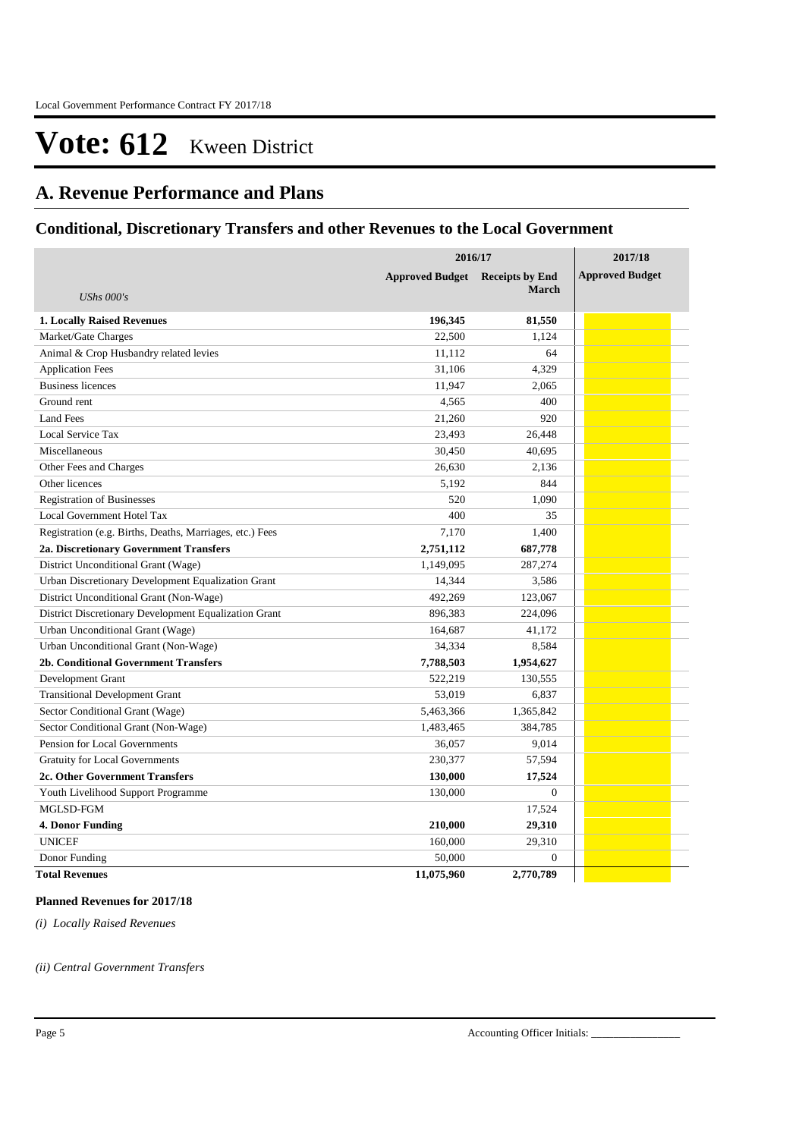## **A. Revenue Performance and Plans**

## **Conditional, Discretionary Transfers and other Revenues to the Local Government**

|                                                          | 2016/17                                | 2017/18      |                        |
|----------------------------------------------------------|----------------------------------------|--------------|------------------------|
|                                                          | <b>Approved Budget</b> Receipts by End |              | <b>Approved Budget</b> |
| <b>UShs</b> 000's                                        |                                        | <b>March</b> |                        |
| <b>1. Locally Raised Revenues</b>                        | 196,345                                | 81,550       |                        |
| Market/Gate Charges                                      | 22,500                                 | 1,124        |                        |
| Animal & Crop Husbandry related levies                   | 11,112                                 | 64           |                        |
| <b>Application Fees</b>                                  | 31,106                                 | 4,329        |                        |
| <b>Business licences</b>                                 | 11,947                                 | 2,065        |                        |
| Ground rent                                              | 4,565                                  | 400          |                        |
| Land Fees                                                | 21,260                                 | 920          |                        |
| Local Service Tax                                        | 23,493                                 | 26,448       |                        |
| Miscellaneous                                            | 30,450                                 | 40,695       |                        |
| Other Fees and Charges                                   | 26,630                                 | 2,136        |                        |
| Other licences                                           | 5,192                                  | 844          |                        |
| <b>Registration of Businesses</b>                        | 520                                    | 1,090        |                        |
| Local Government Hotel Tax                               | 400                                    | 35           |                        |
| Registration (e.g. Births, Deaths, Marriages, etc.) Fees | 7,170                                  | 1,400        |                        |
| 2a. Discretionary Government Transfers                   | 2,751,112                              | 687,778      |                        |
| District Unconditional Grant (Wage)                      | 1,149,095                              | 287,274      |                        |
| Urban Discretionary Development Equalization Grant       | 14,344                                 | 3,586        |                        |
| District Unconditional Grant (Non-Wage)                  | 492,269                                | 123,067      |                        |
| District Discretionary Development Equalization Grant    | 896,383                                | 224,096      |                        |
| Urban Unconditional Grant (Wage)                         | 164,687                                | 41,172       |                        |
| Urban Unconditional Grant (Non-Wage)                     | 34,334                                 | 8,584        |                        |
| 2b. Conditional Government Transfers                     | 7,788,503                              | 1,954,627    |                        |
| Development Grant                                        | 522,219                                | 130,555      |                        |
| <b>Transitional Development Grant</b>                    | 53,019                                 | 6,837        |                        |
| Sector Conditional Grant (Wage)                          | 5,463,366                              | 1,365,842    |                        |
| Sector Conditional Grant (Non-Wage)                      | 1,483,465                              | 384,785      |                        |
| Pension for Local Governments                            | 36,057                                 | 9,014        |                        |
| <b>Gratuity for Local Governments</b>                    | 230,377                                | 57,594       |                        |
| 2c. Other Government Transfers                           | 130,000                                | 17,524       |                        |
| Youth Livelihood Support Programme                       | 130,000                                | $\mathbf{0}$ |                        |
| MGLSD-FGM                                                |                                        | 17,524       |                        |
| 4. Donor Funding                                         | 210,000                                | 29,310       |                        |
| <b>UNICEF</b>                                            | 160,000                                | 29,310       |                        |
| Donor Funding                                            | 50,000                                 | $\theta$     |                        |
| <b>Total Revenues</b>                                    | 11,075,960                             | 2,770,789    |                        |

#### **Planned Revenues for 2017/18**

*(i) Locally Raised Revenues* 

*(ii) Central Government Transfers*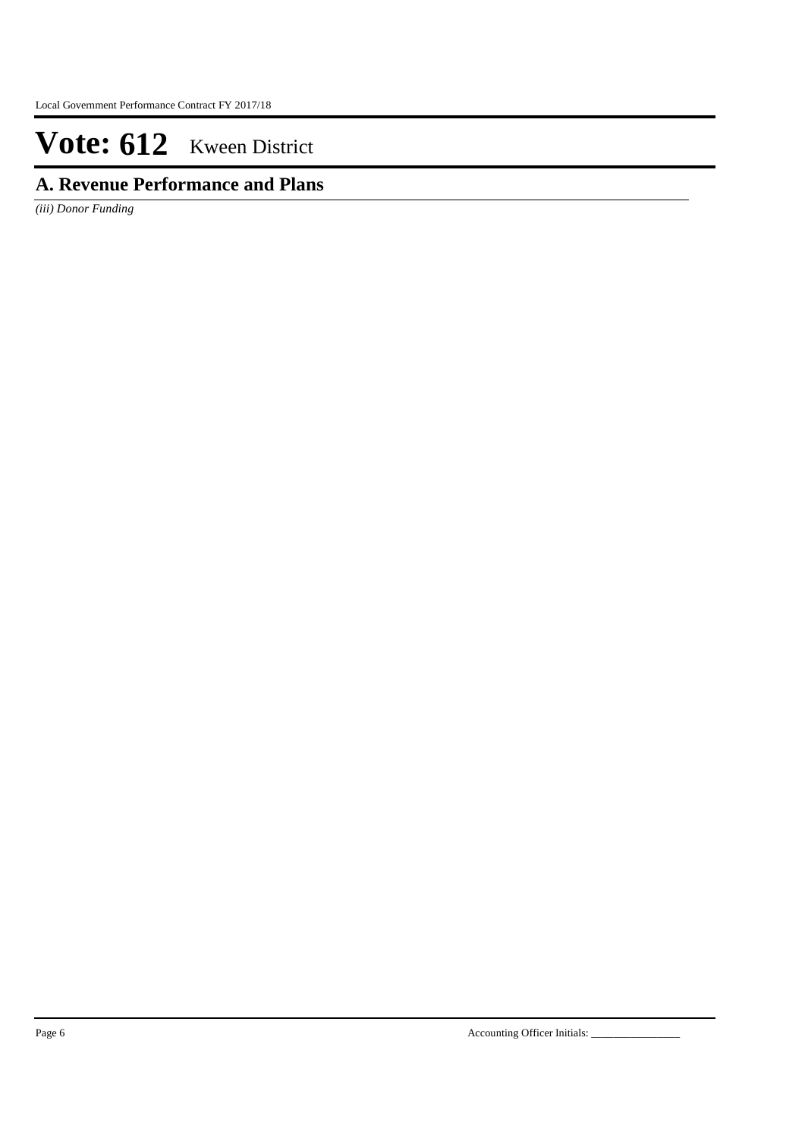## **A. Revenue Performance and Plans**

*(iii) Donor Funding*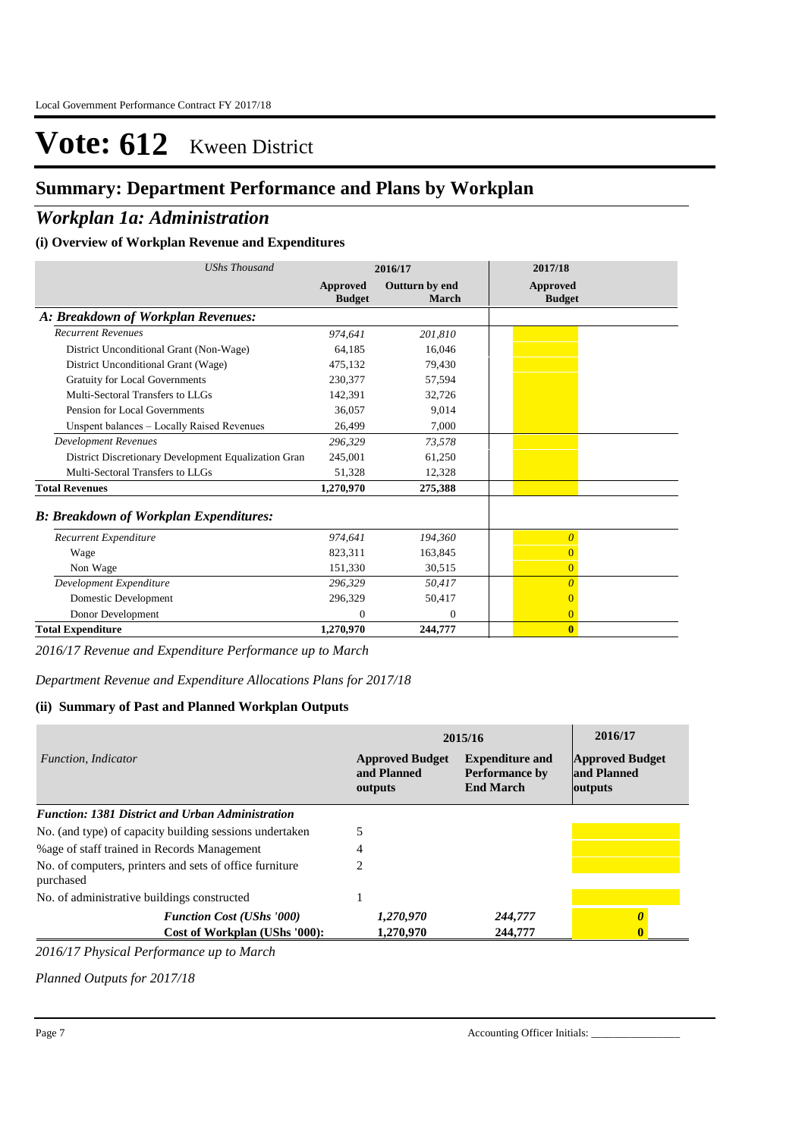## **Summary: Department Performance and Plans by Workplan**

## *Workplan 1a: Administration*

### **(i) Overview of Workplan Revenue and Expenditures**

| <b>UShs Thousand</b>                                 | 2016/17                   |                         | 2017/18                          |
|------------------------------------------------------|---------------------------|-------------------------|----------------------------------|
|                                                      | Approved<br><b>Budget</b> | Outturn by end<br>March | <b>Approved</b><br><b>Budget</b> |
| A: Breakdown of Workplan Revenues:                   |                           |                         |                                  |
| <b>Recurrent Revenues</b>                            | 974.641                   | 201,810                 |                                  |
| District Unconditional Grant (Non-Wage)              | 64,185                    | 16,046                  |                                  |
| District Unconditional Grant (Wage)                  | 475,132                   | 79,430                  |                                  |
| <b>Gratuity for Local Governments</b>                | 230,377                   | 57,594                  |                                  |
| Multi-Sectoral Transfers to LLGs                     | 142.391                   | 32,726                  |                                  |
| Pension for Local Governments                        | 36.057                    | 9,014                   |                                  |
| Unspent balances - Locally Raised Revenues           | 26,499                    | 7,000                   |                                  |
| <b>Development Revenues</b>                          | 296,329                   | 73,578                  |                                  |
| District Discretionary Development Equalization Gran | 245,001                   | 61,250                  |                                  |
| Multi-Sectoral Transfers to LLGs                     | 51,328                    | 12,328                  |                                  |
| <b>Total Revenues</b>                                | 1,270,970                 | 275,388                 |                                  |
| <b>B: Breakdown of Workplan Expenditures:</b>        |                           |                         |                                  |
| Recurrent Expenditure                                | 974,641                   | 194,360                 | $\overline{0}$                   |
| Wage                                                 | 823,311                   | 163,845                 | $\overline{0}$                   |
| Non Wage                                             | 151,330                   | 30,515                  | $\overline{0}$                   |
| Development Expenditure                              | 296.329                   | 50.417                  | $\overline{0}$                   |
| Domestic Development                                 | 296,329                   | 50,417                  | $\overline{0}$                   |
| Donor Development                                    | $\Omega$                  | $\mathbf{0}$            | $\overline{0}$                   |
| <b>Total Expenditure</b>                             | 1,270,970                 | 244,777                 | $\bf{0}$                         |

*2016/17 Revenue and Expenditure Performance up to March*

*Department Revenue and Expenditure Allocations Plans for 2017/18*

### **(ii) Summary of Past and Planned Workplan Outputs**

|                                                                      | 2015/16                                          | 2016/17                                                             |                                                  |
|----------------------------------------------------------------------|--------------------------------------------------|---------------------------------------------------------------------|--------------------------------------------------|
| Function, Indicator                                                  | <b>Approved Budget</b><br>and Planned<br>outputs | <b>Expenditure and</b><br><b>Performance by</b><br><b>End March</b> | <b>Approved Budget</b><br>and Planned<br>outputs |
| <b>Function: 1381 District and Urban Administration</b>              |                                                  |                                                                     |                                                  |
| No. (and type) of capacity building sessions undertaken              |                                                  |                                                                     |                                                  |
| % age of staff trained in Records Management                         |                                                  |                                                                     |                                                  |
| No. of computers, printers and sets of office furniture<br>purchased |                                                  |                                                                     |                                                  |
| No. of administrative buildings constructed                          |                                                  |                                                                     |                                                  |
| <b>Function Cost (UShs '000)</b>                                     | 1,270,970                                        | 244,777                                                             |                                                  |
| Cost of Workplan (UShs '000):                                        | 1,270,970                                        | 244,777                                                             |                                                  |

*2016/17 Physical Performance up to March*

*Planned Outputs for 2017/18*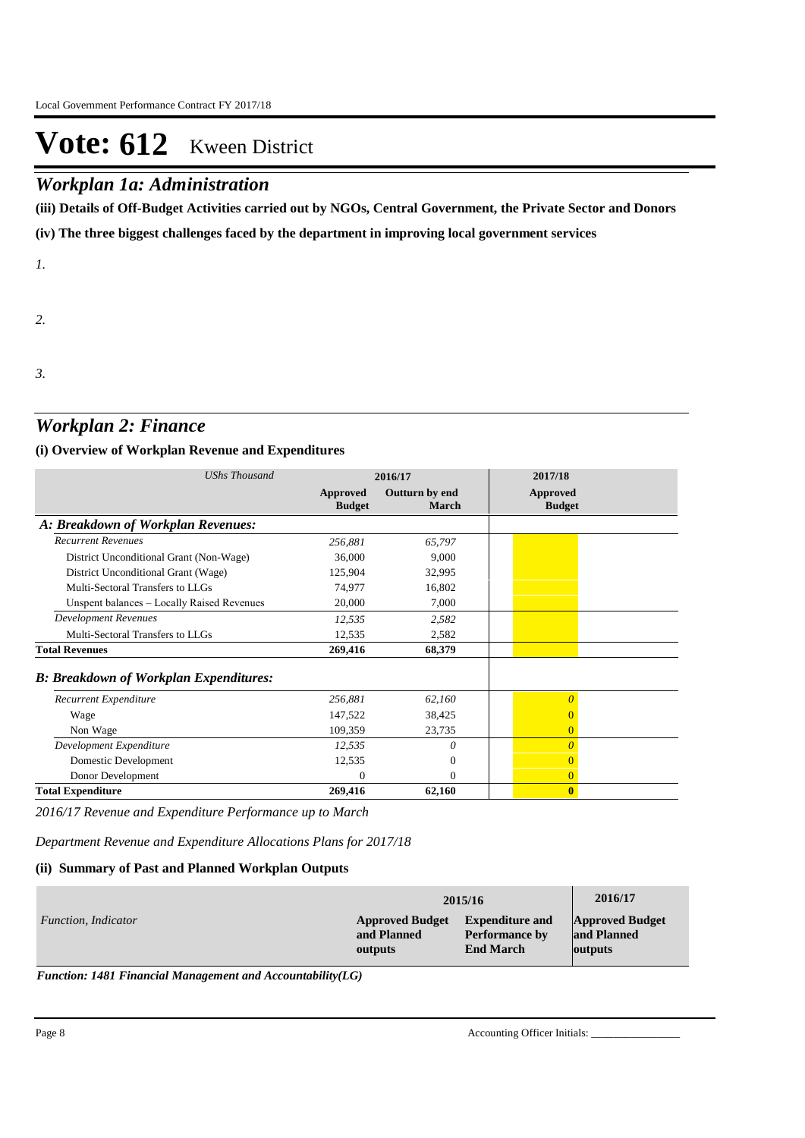## *Workplan 1a: Administration*

**(iii) Details of Off-Budget Activities carried out by NGOs, Central Government, the Private Sector and Donors** 

**(iv) The three biggest challenges faced by the department in improving local government services**

*1.*

*2.*

*3.*

## *Workplan 2: Finance*

### **(i) Overview of Workplan Revenue and Expenditures**

| <b>UShs Thousand</b>                          | 2016/17                   |                         | 2017/18                          |
|-----------------------------------------------|---------------------------|-------------------------|----------------------------------|
|                                               | Approved<br><b>Budget</b> | Outturn by end<br>March | <b>Approved</b><br><b>Budget</b> |
| A: Breakdown of Workplan Revenues:            |                           |                         |                                  |
| <b>Recurrent Revenues</b>                     | 256,881                   | 65,797                  |                                  |
| District Unconditional Grant (Non-Wage)       | 36,000                    | 9,000                   |                                  |
| District Unconditional Grant (Wage)           | 125,904                   | 32,995                  |                                  |
| Multi-Sectoral Transfers to LLGs              | 74,977                    | 16,802                  |                                  |
| Unspent balances - Locally Raised Revenues    | 20,000                    | 7,000                   |                                  |
| <b>Development Revenues</b>                   | 12,535                    | 2,582                   |                                  |
| Multi-Sectoral Transfers to LLGs              | 12,535                    | 2,582                   |                                  |
| <b>Total Revenues</b>                         | 269,416                   | 68,379                  |                                  |
| <b>B: Breakdown of Workplan Expenditures:</b> |                           |                         |                                  |
| Recurrent Expenditure                         | 256,881                   | 62,160                  | 0                                |
| Wage                                          | 147,522                   | 38,425                  |                                  |
| Non Wage                                      | 109,359                   | 23,735                  | $\overline{0}$                   |
| Development Expenditure                       | 12,535                    | 0                       | $\theta$                         |
| Domestic Development                          | 12,535                    | $\mathbf{0}$            | 0                                |
| Donor Development                             | $\Omega$                  | $\Omega$                | $\overline{0}$                   |
| <b>Total Expenditure</b>                      | 269,416                   | 62,160                  | $\mathbf{0}$                     |

*2016/17 Revenue and Expenditure Performance up to March*

*Department Revenue and Expenditure Allocations Plans for 2017/18*

### **(ii) Summary of Past and Planned Workplan Outputs**

|                            | 2015/16                |                        | 2016/17                |
|----------------------------|------------------------|------------------------|------------------------|
| <i>Function, Indicator</i> | <b>Approved Budget</b> | <b>Expenditure and</b> | <b>Approved Budget</b> |
|                            | and Planned            | <b>Performance by</b>  | and Planned            |
|                            | outputs                | <b>End March</b>       | outputs                |

*Function: 1481 Financial Management and Accountability(LG)*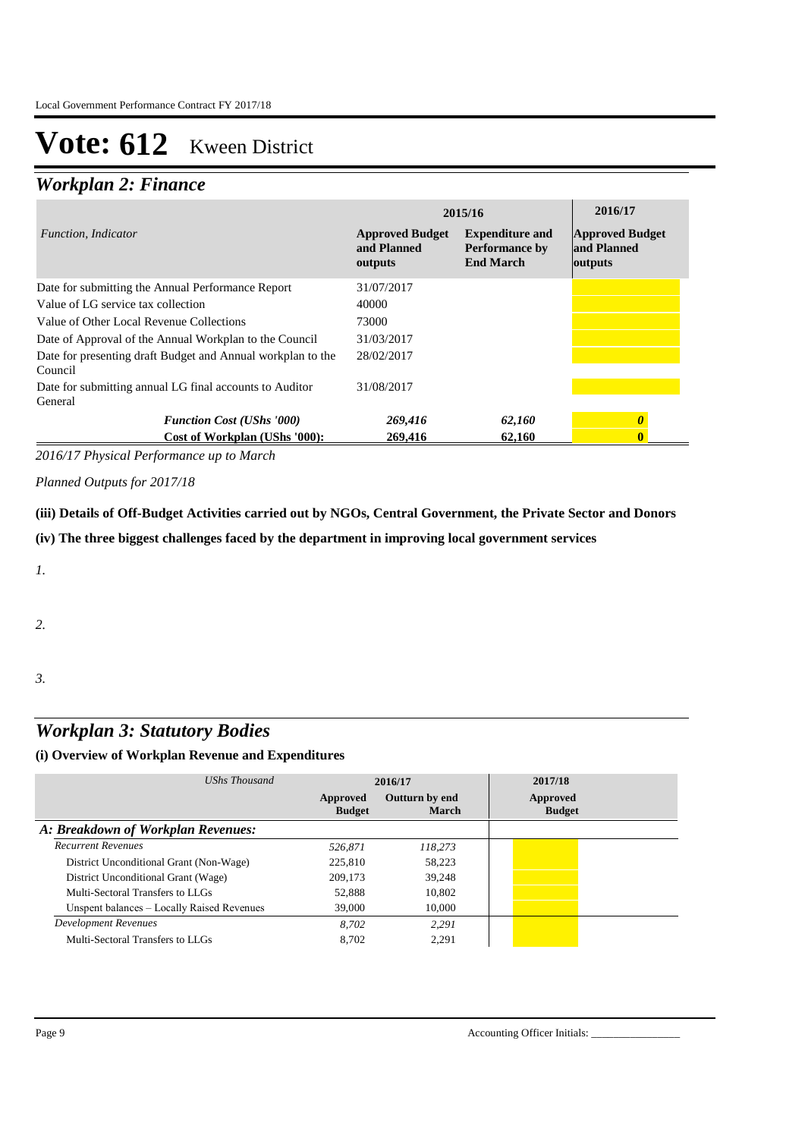## *Workplan 2: Finance*

|                                                                        | 2015/16                                          | 2016/17                                                             |                                                  |
|------------------------------------------------------------------------|--------------------------------------------------|---------------------------------------------------------------------|--------------------------------------------------|
| Function, Indicator                                                    | <b>Approved Budget</b><br>and Planned<br>outputs | <b>Expenditure and</b><br><b>Performance by</b><br><b>End March</b> | <b>Approved Budget</b><br>and Planned<br>outputs |
| Date for submitting the Annual Performance Report                      | 31/07/2017                                       |                                                                     |                                                  |
| Value of LG service tax collection                                     | 40000                                            |                                                                     |                                                  |
| Value of Other Local Revenue Collections                               | 73000                                            |                                                                     |                                                  |
| Date of Approval of the Annual Workplan to the Council                 | 31/03/2017                                       |                                                                     |                                                  |
| Date for presenting draft Budget and Annual workplan to the<br>Council | 28/02/2017                                       |                                                                     |                                                  |
| Date for submitting annual LG final accounts to Auditor<br>General     | 31/08/2017                                       |                                                                     |                                                  |
| <b>Function Cost (UShs '000)</b>                                       | 269,416                                          | 62,160                                                              | 0                                                |
| Cost of Workplan (UShs '000):                                          | 269,416                                          | 62,160                                                              |                                                  |

*2016/17 Physical Performance up to March*

*Planned Outputs for 2017/18* 

**(iii) Details of Off-Budget Activities carried out by NGOs, Central Government, the Private Sector and Donors** 

**(iv) The three biggest challenges faced by the department in improving local government services**

*1.*

*2.*

*3.*

## *Workplan 3: Statutory Bodies*

### **(i) Overview of Workplan Revenue and Expenditures**

| UShs Thousand                              |                           | 2016/17                 | 2017/18                   |
|--------------------------------------------|---------------------------|-------------------------|---------------------------|
|                                            | Approved<br><b>Budget</b> | Outturn by end<br>March | Approved<br><b>Budget</b> |
| A: Breakdown of Workplan Revenues:         |                           |                         |                           |
| <b>Recurrent Revenues</b>                  | 526.871                   | 118.273                 |                           |
| District Unconditional Grant (Non-Wage)    | 225,810                   | 58.223                  |                           |
| District Unconditional Grant (Wage)        | 209,173                   | 39.248                  |                           |
| Multi-Sectoral Transfers to LLGs           | 52,888                    | 10.802                  |                           |
| Unspent balances – Locally Raised Revenues | 39,000                    | 10,000                  |                           |
| <b>Development Revenues</b>                | 8.702                     | 2.291                   |                           |
| Multi-Sectoral Transfers to LLGs           | 8.702                     | 2.291                   |                           |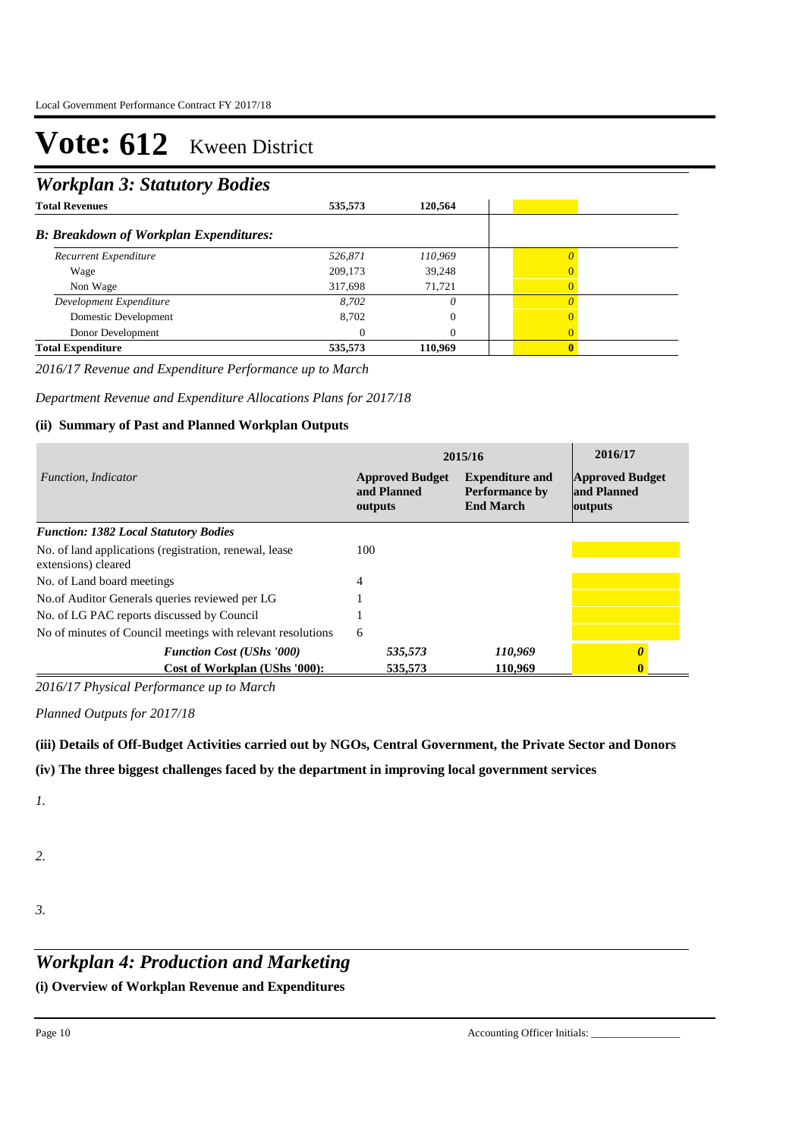## *Workplan 3: Statutory Bodies*

| ັ                                             |         |          |   |  |
|-----------------------------------------------|---------|----------|---|--|
| <b>Total Revenues</b>                         | 535,573 | 120,564  |   |  |
| <b>B: Breakdown of Workplan Expenditures:</b> |         |          |   |  |
| Recurrent Expenditure                         | 526,871 | 110,969  |   |  |
| Wage                                          | 209,173 | 39,248   | 0 |  |
| Non Wage                                      | 317,698 | 71,721   | 0 |  |
| Development Expenditure                       | 8.702   | 0        |   |  |
| Domestic Development                          | 8,702   | $\Omega$ |   |  |
| Donor Development                             |         | $\Omega$ | 0 |  |
| <b>Total Expenditure</b>                      | 535,573 | 110,969  |   |  |

*2016/17 Revenue and Expenditure Performance up to March*

*Department Revenue and Expenditure Allocations Plans for 2017/18*

### **(ii) Summary of Past and Planned Workplan Outputs**

|                                                                               | 2015/16                                          | 2016/17                                                      |                                                  |
|-------------------------------------------------------------------------------|--------------------------------------------------|--------------------------------------------------------------|--------------------------------------------------|
| Function, Indicator                                                           | <b>Approved Budget</b><br>and Planned<br>outputs | <b>Expenditure and</b><br>Performance by<br><b>End March</b> | <b>Approved Budget</b><br>and Planned<br>outputs |
| <b>Function: 1382 Local Statutory Bodies</b>                                  |                                                  |                                                              |                                                  |
| No. of land applications (registration, renewal, lease<br>extensions) cleared | 100                                              |                                                              |                                                  |
| No. of Land board meetings                                                    | 4                                                |                                                              |                                                  |
| No.of Auditor Generals queries reviewed per LG                                |                                                  |                                                              |                                                  |
| No. of LG PAC reports discussed by Council                                    |                                                  |                                                              |                                                  |
| No of minutes of Council meetings with relevant resolutions                   | 6                                                |                                                              |                                                  |
| <b>Function Cost (UShs '000)</b>                                              | 535,573                                          | 110,969                                                      |                                                  |
| Cost of Workplan (UShs '000):                                                 | 535,573                                          | 110.969                                                      |                                                  |

*2016/17 Physical Performance up to March*

*Planned Outputs for 2017/18* 

**(iii) Details of Off-Budget Activities carried out by NGOs, Central Government, the Private Sector and Donors** 

**(iv) The three biggest challenges faced by the department in improving local government services**

*1.*

- *2.*
- *3.*

## *Workplan 4: Production and Marketing*

**(i) Overview of Workplan Revenue and Expenditures**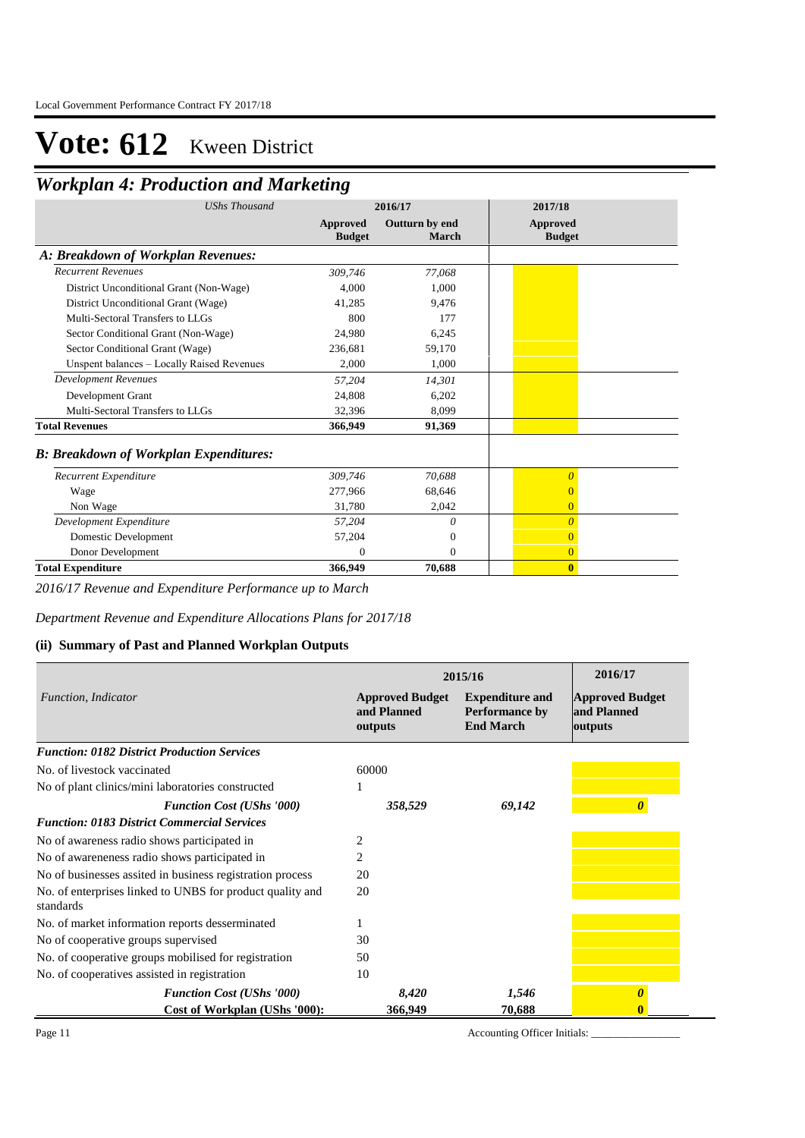## *Workplan 4: Production and Marketing*

| <b>UShs Thousand</b>                          | 2016/17                          |                         | 2017/18                   |
|-----------------------------------------------|----------------------------------|-------------------------|---------------------------|
|                                               | <b>Approved</b><br><b>Budget</b> | Outturn by end<br>March | Approved<br><b>Budget</b> |
| A: Breakdown of Workplan Revenues:            |                                  |                         |                           |
| <b>Recurrent Revenues</b>                     | 309,746                          | 77,068                  |                           |
| District Unconditional Grant (Non-Wage)       | 4.000                            | 1,000                   |                           |
| District Unconditional Grant (Wage)           | 41,285                           | 9,476                   |                           |
| Multi-Sectoral Transfers to LLGs              | 800                              | 177                     |                           |
| Sector Conditional Grant (Non-Wage)           | 24,980                           | 6,245                   |                           |
| Sector Conditional Grant (Wage)               | 236,681                          | 59,170                  |                           |
| Unspent balances - Locally Raised Revenues    | 2,000                            | 1,000                   |                           |
| <b>Development Revenues</b>                   | 57,204                           | 14,301                  |                           |
| Development Grant                             | 24,808                           | 6,202                   |                           |
| Multi-Sectoral Transfers to LLGs              | 32,396                           | 8,099                   |                           |
| <b>Total Revenues</b>                         | 366,949                          | 91,369                  |                           |
| <b>B: Breakdown of Workplan Expenditures:</b> |                                  |                         |                           |
| Recurrent Expenditure                         | 309,746                          | 70.688                  | 0                         |
| Wage                                          | 277,966                          | 68,646                  |                           |
| Non Wage                                      | 31.780                           | 2,042                   | $\overline{0}$            |
| Development Expenditure                       | 57,204                           | 0                       | $\Omega$                  |
| Domestic Development                          | 57,204                           | 0                       | $\Omega$                  |
| Donor Development                             | $\Omega$                         | $\Omega$                | $\overline{0}$            |
| <b>Total Expenditure</b>                      | 366,949                          | 70,688                  | $\bf{0}$                  |

*2016/17 Revenue and Expenditure Performance up to March*

*Department Revenue and Expenditure Allocations Plans for 2017/18*

### **(ii) Summary of Past and Planned Workplan Outputs**

|                                                                        | 2015/16                                          | 2016/17                                                             |                                                  |
|------------------------------------------------------------------------|--------------------------------------------------|---------------------------------------------------------------------|--------------------------------------------------|
| Function, Indicator                                                    | <b>Approved Budget</b><br>and Planned<br>outputs | <b>Expenditure and</b><br><b>Performance by</b><br><b>End March</b> | <b>Approved Budget</b><br>and Planned<br>outputs |
| <b>Function: 0182 District Production Services</b>                     |                                                  |                                                                     |                                                  |
| No. of livestock vaccinated                                            | 60000                                            |                                                                     |                                                  |
| No of plant clinics/mini laboratories constructed                      |                                                  |                                                                     |                                                  |
| <b>Function Cost (UShs '000)</b>                                       | 358,529                                          | 69,142                                                              |                                                  |
| <b>Function: 0183 District Commercial Services</b>                     |                                                  |                                                                     |                                                  |
| No of awareness radio shows participated in                            | 2                                                |                                                                     |                                                  |
| No of awareneness radio shows participated in                          | 2                                                |                                                                     |                                                  |
| No of businesses assited in business registration process              | 20                                               |                                                                     |                                                  |
| No. of enterprises linked to UNBS for product quality and<br>standards | 20                                               |                                                                     |                                                  |
| No. of market information reports desserminated                        |                                                  |                                                                     |                                                  |
| No of cooperative groups supervised                                    | 30                                               |                                                                     |                                                  |
| No. of cooperative groups mobilised for registration                   | 50                                               |                                                                     |                                                  |
| No. of cooperatives assisted in registration                           | 10                                               |                                                                     |                                                  |
| <b>Function Cost (UShs '000)</b>                                       | 8,420                                            | 1,546                                                               |                                                  |
| Cost of Workplan (UShs '000):                                          | 366,949                                          | 70,688                                                              |                                                  |

Page 11 Accounting Officer Initials: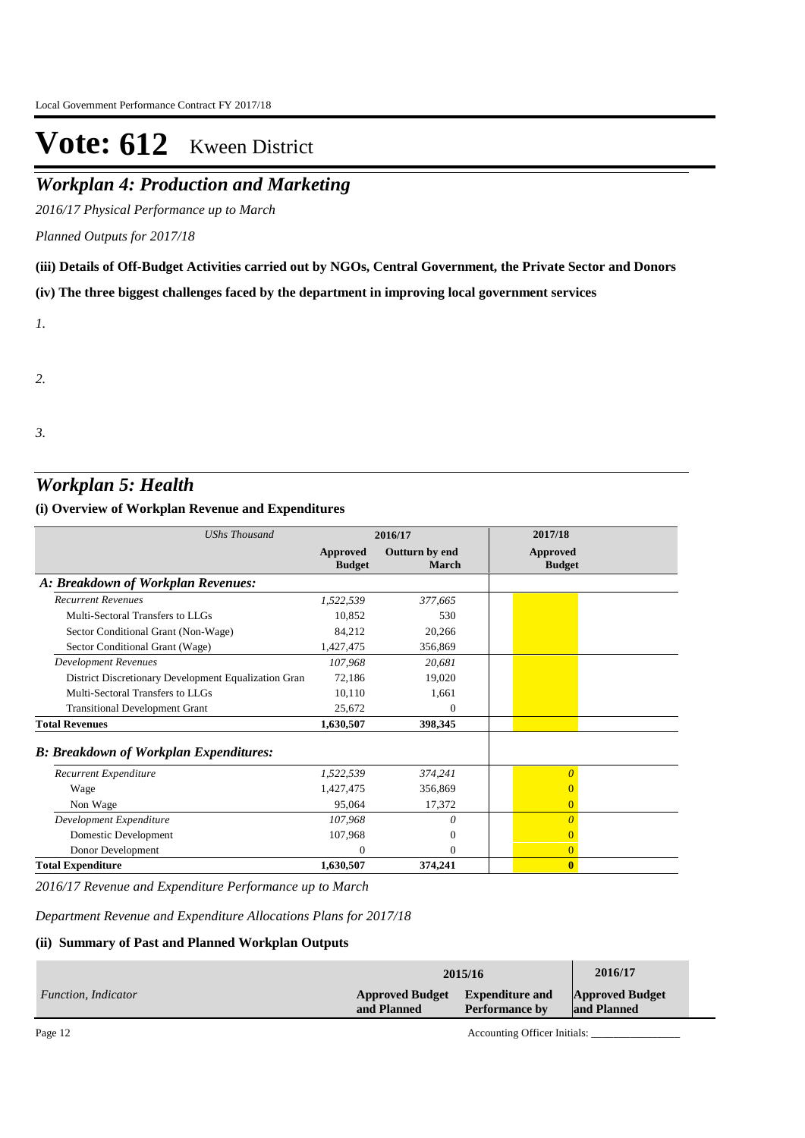## *Workplan 4: Production and Marketing*

*2016/17 Physical Performance up to March*

*Planned Outputs for 2017/18* 

**(iii) Details of Off-Budget Activities carried out by NGOs, Central Government, the Private Sector and Donors** 

**(iv) The three biggest challenges faced by the department in improving local government services**

*1.*

*2.*

*3.*

## *Workplan 5: Health*

**(i) Overview of Workplan Revenue and Expenditures**

| <b>UShs Thousand</b>                                 | 2016/17                   |                         | 2017/18                          |
|------------------------------------------------------|---------------------------|-------------------------|----------------------------------|
|                                                      | Approved<br><b>Budget</b> | Outturn by end<br>March | <b>Approved</b><br><b>Budget</b> |
| A: Breakdown of Workplan Revenues:                   |                           |                         |                                  |
| <b>Recurrent Revenues</b>                            | 1,522,539                 | 377,665                 |                                  |
| Multi-Sectoral Transfers to LLGs                     | 10,852                    | 530                     |                                  |
| Sector Conditional Grant (Non-Wage)                  | 84,212                    | 20,266                  |                                  |
| Sector Conditional Grant (Wage)                      | 1,427,475                 | 356,869                 |                                  |
| <b>Development Revenues</b>                          | 107,968                   | 20,681                  |                                  |
| District Discretionary Development Equalization Gran | 72,186                    | 19,020                  |                                  |
| Multi-Sectoral Transfers to LLGs                     | 10,110                    | 1,661                   |                                  |
| <b>Transitional Development Grant</b>                | 25,672                    | $\Omega$                |                                  |
| <b>Total Revenues</b>                                | 1,630,507                 | 398,345                 |                                  |
| <b>B: Breakdown of Workplan Expenditures:</b>        |                           |                         |                                  |
| Recurrent Expenditure                                | 1,522,539                 | 374,241                 | $\overline{0}$                   |
| Wage                                                 | 1,427,475                 | 356,869                 | $\mathbf{0}$                     |
| Non Wage                                             | 95,064                    | 17,372                  | $\overline{0}$                   |
| Development Expenditure                              | 107,968                   | 0                       | $\Omega$                         |
| Domestic Development                                 | 107,968                   | $\Omega$                | $\overline{0}$                   |
| Donor Development                                    | $\Omega$                  | $\mathbf{0}$            | $\overline{0}$                   |
| <b>Total Expenditure</b>                             | 1,630,507                 | 374,241                 | $\mathbf{0}$                     |

*2016/17 Revenue and Expenditure Performance up to March*

*Department Revenue and Expenditure Allocations Plans for 2017/18*

#### **(ii) Summary of Past and Planned Workplan Outputs**

|                     | 2015/16                               |                                                 |                                       |  |
|---------------------|---------------------------------------|-------------------------------------------------|---------------------------------------|--|
| Function, Indicator | <b>Approved Budget</b><br>and Planned | <b>Expenditure and</b><br><b>Performance by</b> | <b>Approved Budget</b><br>and Planned |  |
|                     |                                       | .                                               |                                       |  |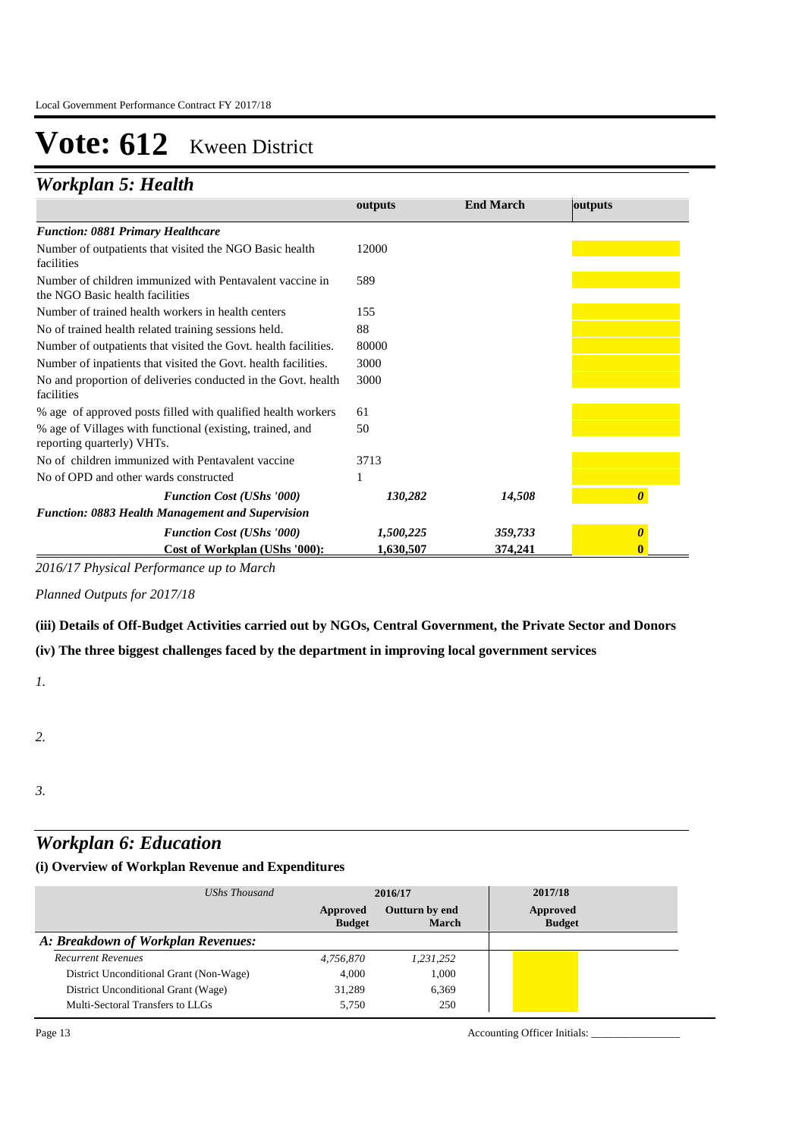## *Workplan 5: Health*

|                                                                                             | outputs   | <b>End March</b> | outputs |
|---------------------------------------------------------------------------------------------|-----------|------------------|---------|
| <b>Function: 0881 Primary Healthcare</b>                                                    |           |                  |         |
| Number of outpatients that visited the NGO Basic health<br>facilities                       | 12000     |                  |         |
| Number of children immunized with Pentavalent vaccine in<br>the NGO Basic health facilities | 589       |                  |         |
| Number of trained health workers in health centers                                          | 155       |                  |         |
| No of trained health related training sessions held.                                        | 88        |                  |         |
| Number of outpatients that visited the Govt. health facilities.                             | 80000     |                  |         |
| Number of inpatients that visited the Govt. health facilities.                              | 3000      |                  |         |
| No and proportion of deliveries conducted in the Govt. health<br>facilities                 | 3000      |                  |         |
| % age of approved posts filled with qualified health workers                                | 61        |                  |         |
| % age of Villages with functional (existing, trained, and<br>reporting quarterly) VHTs.     | 50        |                  |         |
| No of children immunized with Pentavalent vaccine                                           | 3713      |                  |         |
| No of OPD and other wards constructed                                                       |           |                  |         |
| <b>Function Cost (UShs '000)</b>                                                            | 130,282   | 14,508           |         |
| <b>Function: 0883 Health Management and Supervision</b>                                     |           |                  |         |
| <b>Function Cost (UShs '000)</b>                                                            | 1,500,225 | 359,733          |         |
| Cost of Workplan (UShs '000):                                                               | 1,630,507 | 374,241          |         |

**Approved Budget** 

**Expenditure and** 

**Approved Budget** 

*2016/17 Physical Performance up to March*

*Planned Outputs for 2017/18* 

### **(iii) Details of Off-Budget Activities carried out by NGOs, Central Government, the Private Sector and Donors**

### **(iv) The three biggest challenges faced by the department in improving local government services**

*1.*

#### *2.*

*3.*

## *Workplan 6: Education*

## **(i) Overview of Workplan Revenue and Expenditures**

| UShs Thousand                           |                           | 2016/17                 | 2017/18                   |
|-----------------------------------------|---------------------------|-------------------------|---------------------------|
|                                         | Approved<br><b>Budget</b> | Outturn by end<br>March | Approved<br><b>Budget</b> |
| A: Breakdown of Workplan Revenues:      |                           |                         |                           |
| <b>Recurrent Revenues</b>               | 4,756,870                 | 1,231,252               |                           |
| District Unconditional Grant (Non-Wage) | 4.000                     | 1,000                   |                           |
| District Unconditional Grant (Wage)     | 31,289                    | 6,369                   |                           |
| Multi-Sectoral Transfers to LLGs        | 5.750                     | 250                     |                           |

Page 13 Accounting Officer Initials: \_\_\_\_\_\_\_\_\_\_\_\_\_\_\_\_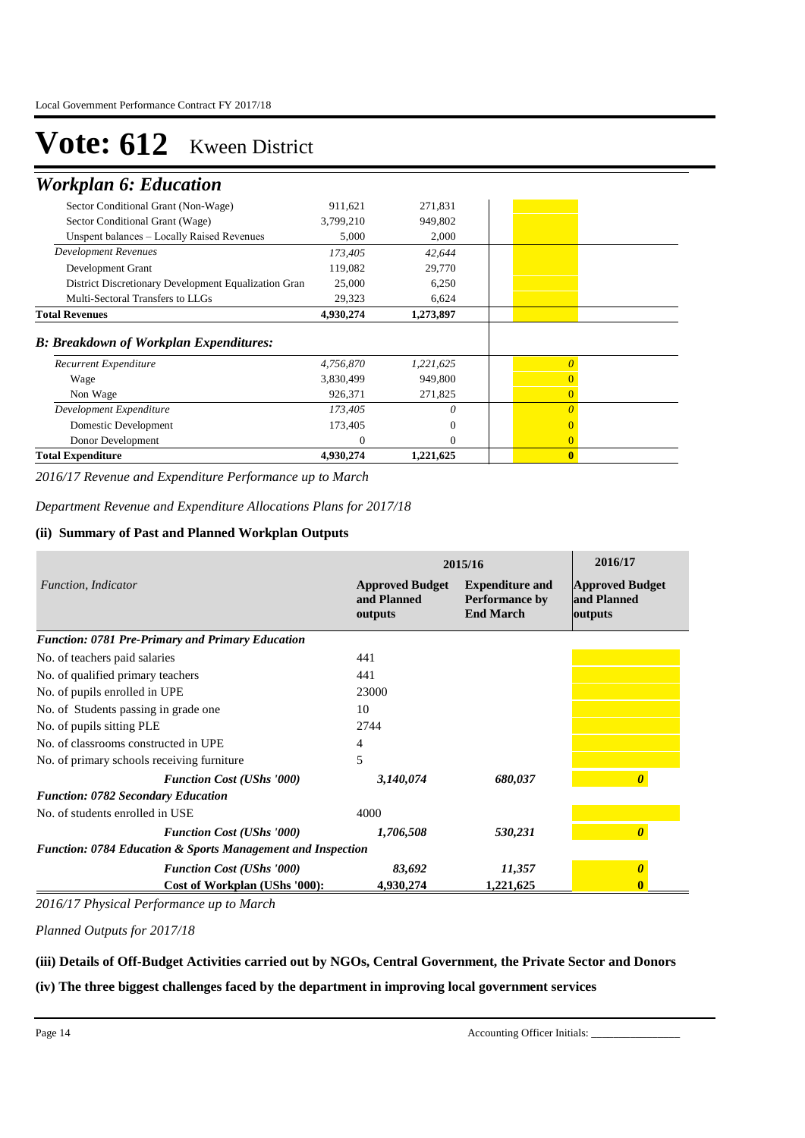## *Workplan 6: Education*

| Development Expenditure<br>Domestic Development<br>Donor Development | 173,405<br>173,405<br>$\Omega$ | 0<br>$\theta$<br>$\mathbf{0}$ | $\Omega$<br>$\Omega$ |
|----------------------------------------------------------------------|--------------------------------|-------------------------------|----------------------|
|                                                                      |                                |                               |                      |
|                                                                      |                                |                               |                      |
|                                                                      |                                |                               |                      |
| Non Wage                                                             | 926,371                        | 271,825                       | 0                    |
| Wage                                                                 | 3,830,499                      | 949,800                       |                      |
| Recurrent Expenditure                                                | 4,756,870                      | 1,221,625                     | 0                    |
| <b>B: Breakdown of Workplan Expenditures:</b>                        |                                |                               |                      |
| <b>Total Revenues</b>                                                | 4,930,274                      | 1,273,897                     |                      |
| Multi-Sectoral Transfers to LLGs                                     | 29,323                         | 6,624                         |                      |
| District Discretionary Development Equalization Gran                 | 25,000                         | 6,250                         |                      |
| Development Grant                                                    | 119,082                        | 29,770                        |                      |
| <b>Development Revenues</b>                                          | 173,405                        | 42,644                        |                      |
| Unspent balances - Locally Raised Revenues                           | 5,000                          | 2,000                         |                      |
| Sector Conditional Grant (Wage)                                      | 3,799,210                      | 949,802                       |                      |
| Sector Conditional Grant (Non-Wage)                                  | 911,621                        | 271,831                       |                      |
|                                                                      |                                |                               |                      |

*2016/17 Revenue and Expenditure Performance up to March*

*Department Revenue and Expenditure Allocations Plans for 2017/18*

#### **(ii) Summary of Past and Planned Workplan Outputs**

|                                                                        | 2015/16                                          | 2016/17                                                             |                                                  |
|------------------------------------------------------------------------|--------------------------------------------------|---------------------------------------------------------------------|--------------------------------------------------|
| Function, Indicator                                                    | <b>Approved Budget</b><br>and Planned<br>outputs | <b>Expenditure and</b><br><b>Performance by</b><br><b>End March</b> | <b>Approved Budget</b><br>and Planned<br>outputs |
| <b>Function: 0781 Pre-Primary and Primary Education</b>                |                                                  |                                                                     |                                                  |
| No. of teachers paid salaries                                          | 441                                              |                                                                     |                                                  |
| No. of qualified primary teachers                                      | 441                                              |                                                                     |                                                  |
| No. of pupils enrolled in UPE                                          | 23000                                            |                                                                     |                                                  |
| No. of Students passing in grade one.                                  | 10                                               |                                                                     |                                                  |
| No. of pupils sitting PLE                                              | 2744                                             |                                                                     |                                                  |
| No. of classrooms constructed in UPE                                   | 4                                                |                                                                     |                                                  |
| No. of primary schools receiving furniture.                            | 5                                                |                                                                     |                                                  |
| <b>Function Cost (UShs '000)</b>                                       | 3,140,074                                        | 680,037                                                             | $\boldsymbol{\theta}$                            |
| <b>Function: 0782 Secondary Education</b>                              |                                                  |                                                                     |                                                  |
| No. of students enrolled in USE                                        | 4000                                             |                                                                     |                                                  |
| <b>Function Cost (UShs '000)</b>                                       | 1,706,508                                        | 530,231                                                             |                                                  |
| <b>Function: 0784 Education &amp; Sports Management and Inspection</b> |                                                  |                                                                     |                                                  |
| <b>Function Cost (UShs '000)</b>                                       | 83,692                                           | 11,357                                                              |                                                  |
| Cost of Workplan (UShs '000):                                          | 4,930,274                                        | 1,221,625                                                           |                                                  |

*2016/17 Physical Performance up to March*

*Planned Outputs for 2017/18* 

### **(iii) Details of Off-Budget Activities carried out by NGOs, Central Government, the Private Sector and Donors**

**(iv) The three biggest challenges faced by the department in improving local government services**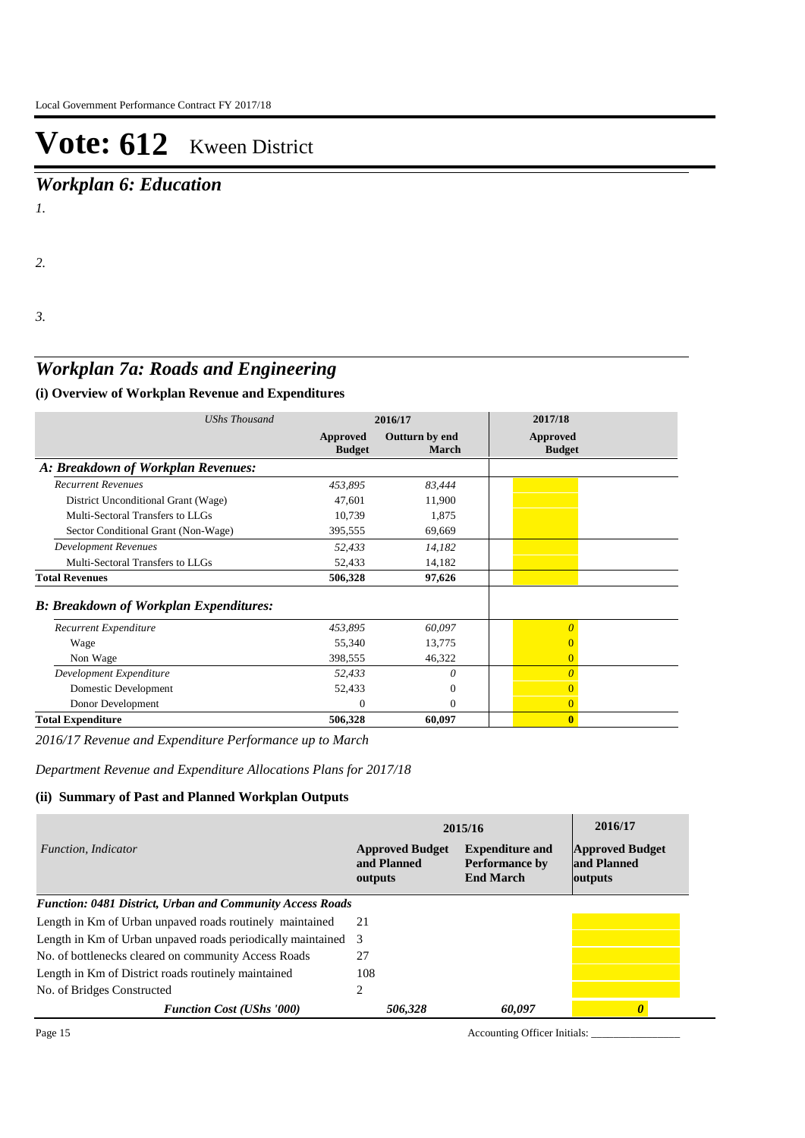*Workplan 6: Education*

*1.*

*2.*

*3.*

## *Workplan 7a: Roads and Engineering*

## **(i) Overview of Workplan Revenue and Expenditures**

| <b>UShs Thousand</b>                          |                           | 2016/17                        | 2017/18                   |
|-----------------------------------------------|---------------------------|--------------------------------|---------------------------|
|                                               | Approved<br><b>Budget</b> | Outturn by end<br><b>March</b> | Approved<br><b>Budget</b> |
| A: Breakdown of Workplan Revenues:            |                           |                                |                           |
| <b>Recurrent Revenues</b>                     | 453,895                   | 83,444                         |                           |
| District Unconditional Grant (Wage)           | 47,601                    | 11,900                         |                           |
| Multi-Sectoral Transfers to LLGs              | 10,739                    | 1,875                          |                           |
| Sector Conditional Grant (Non-Wage)           | 395,555                   | 69,669                         |                           |
| <b>Development Revenues</b>                   | 52,433                    | 14,182                         |                           |
| Multi-Sectoral Transfers to LLGs              | 52,433                    | 14,182                         |                           |
| <b>Total Revenues</b>                         | 506,328                   | 97,626                         |                           |
| <b>B: Breakdown of Workplan Expenditures:</b> |                           |                                |                           |
| Recurrent Expenditure                         | 453,895                   | 60,097                         | $\theta$                  |
| Wage                                          | 55,340                    | 13,775                         | $\Omega$                  |
| Non Wage                                      | 398,555                   | 46,322                         | $\overline{0}$            |
| Development Expenditure                       | 52,433                    | 0                              | $\theta$                  |
| Domestic Development                          | 52,433                    | $\Omega$                       | $\Omega$                  |
| Donor Development                             | $^{(1)}$                  | 0                              | $\overline{0}$            |
| <b>Total Expenditure</b>                      | 506,328                   | 60,097                         | $\mathbf{0}$              |

*2016/17 Revenue and Expenditure Performance up to March*

*Department Revenue and Expenditure Allocations Plans for 2017/18*

### **(ii) Summary of Past and Planned Workplan Outputs**

|                                                               | 2015/16                                          | 2016/17                                                             |                                                  |
|---------------------------------------------------------------|--------------------------------------------------|---------------------------------------------------------------------|--------------------------------------------------|
| <i>Function, Indicator</i>                                    | <b>Approved Budget</b><br>and Planned<br>outputs | <b>Expenditure and</b><br><b>Performance by</b><br><b>End March</b> | <b>Approved Budget</b><br>and Planned<br>outputs |
| Function: 0481 District, Urban and Community Access Roads     |                                                  |                                                                     |                                                  |
| Length in Km of Urban unpaved roads routinely maintained      | 21                                               |                                                                     |                                                  |
| Length in Km of Urban unpaved roads periodically maintained 3 |                                                  |                                                                     |                                                  |
| No. of bottlenecks cleared on community Access Roads          | 27                                               |                                                                     |                                                  |
| Length in Km of District roads routinely maintained           | 108                                              |                                                                     |                                                  |
| No. of Bridges Constructed                                    | 2                                                |                                                                     |                                                  |
| <b>Function Cost (UShs '000)</b>                              | 506,328                                          | 60,097                                                              |                                                  |

Page 15 Accounting Officer Initials: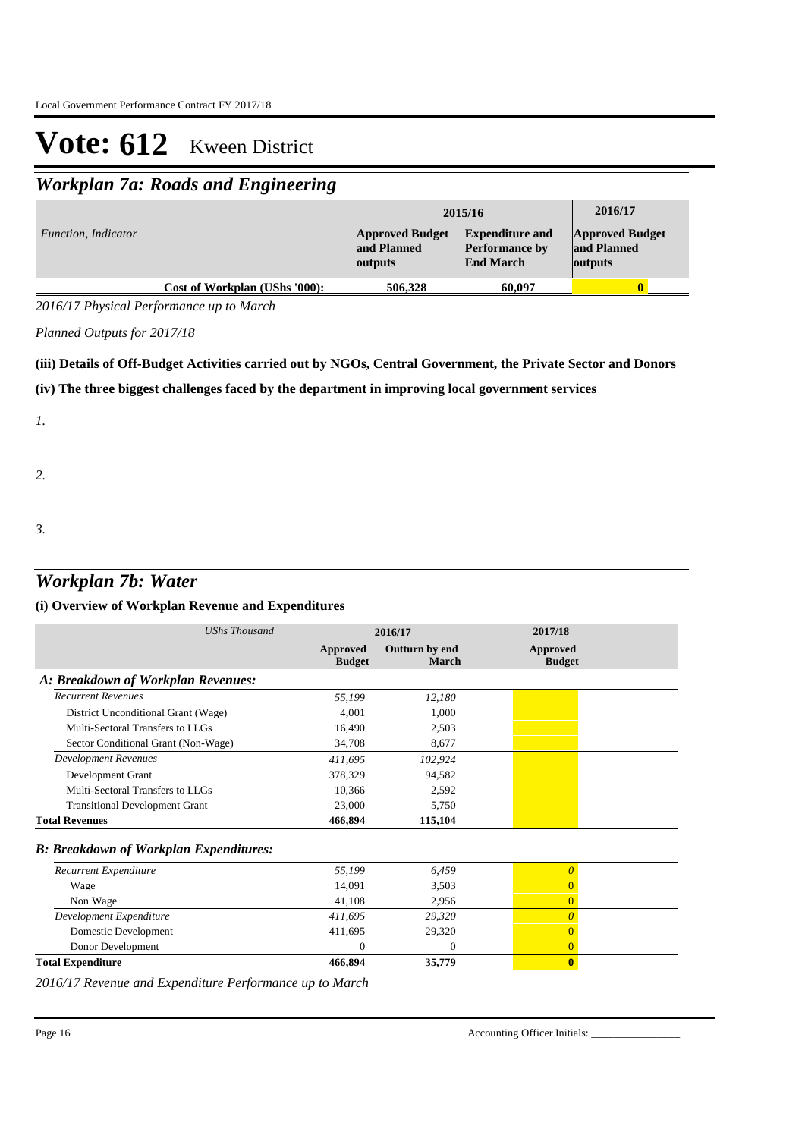## *Workplan 7a: Roads and Engineering*

|                            |                               | 2015/16                                          | 2016/17                                                             |                                                  |
|----------------------------|-------------------------------|--------------------------------------------------|---------------------------------------------------------------------|--------------------------------------------------|
| <i>Function, Indicator</i> |                               | <b>Approved Budget</b><br>and Planned<br>outputs | <b>Expenditure and</b><br><b>Performance by</b><br><b>End March</b> | <b>Approved Budget</b><br>and Planned<br>outputs |
|                            | Cost of Workplan (UShs '000): | 506,328                                          | 60,097                                                              |                                                  |

*2016/17 Physical Performance up to March*

*Planned Outputs for 2017/18* 

### **(iii) Details of Off-Budget Activities carried out by NGOs, Central Government, the Private Sector and Donors**

#### **(iv) The three biggest challenges faced by the department in improving local government services**

*1.*

*2.*

- 
- *3.*

## *Workplan 7b: Water*

### **(i) Overview of Workplan Revenue and Expenditures**

| <b>UShs Thousand</b>                          | 2016/17                          |                                | 2017/18                          |
|-----------------------------------------------|----------------------------------|--------------------------------|----------------------------------|
|                                               | <b>Approved</b><br><b>Budget</b> | Outturn by end<br><b>March</b> | <b>Approved</b><br><b>Budget</b> |
| A: Breakdown of Workplan Revenues:            |                                  |                                |                                  |
| <b>Recurrent Revenues</b>                     | 55,199                           | 12,180                         |                                  |
| District Unconditional Grant (Wage)           | 4.001                            | 1,000                          |                                  |
| Multi-Sectoral Transfers to LLGs              | 16,490                           | 2,503                          |                                  |
| Sector Conditional Grant (Non-Wage)           | 34,708                           | 8,677                          |                                  |
| Development Revenues                          | 411,695                          | 102,924                        |                                  |
| Development Grant                             | 378,329                          | 94,582                         |                                  |
| Multi-Sectoral Transfers to LLGs              | 10,366                           | 2,592                          |                                  |
| <b>Transitional Development Grant</b>         | 23,000                           | 5.750                          |                                  |
| <b>Total Revenues</b>                         | 466,894                          | 115,104                        |                                  |
| <b>B: Breakdown of Workplan Expenditures:</b> |                                  |                                |                                  |
| Recurrent Expenditure                         | 55,199                           | 6.459                          | $\overline{0}$                   |
| Wage                                          | 14,091                           | 3,503                          | $\overline{0}$                   |
| Non Wage                                      | 41,108                           | 2,956                          | $\overline{0}$                   |
| Development Expenditure                       | 411,695                          | 29,320                         | $\theta$                         |
| Domestic Development                          | 411,695                          | 29,320                         | $\overline{0}$                   |
| Donor Development                             | $\Omega$                         | $\Omega$                       | $\overline{0}$                   |
| <b>Total Expenditure</b>                      | 466,894                          | 35,779                         | $\mathbf{0}$                     |

*2016/17 Revenue and Expenditure Performance up to March*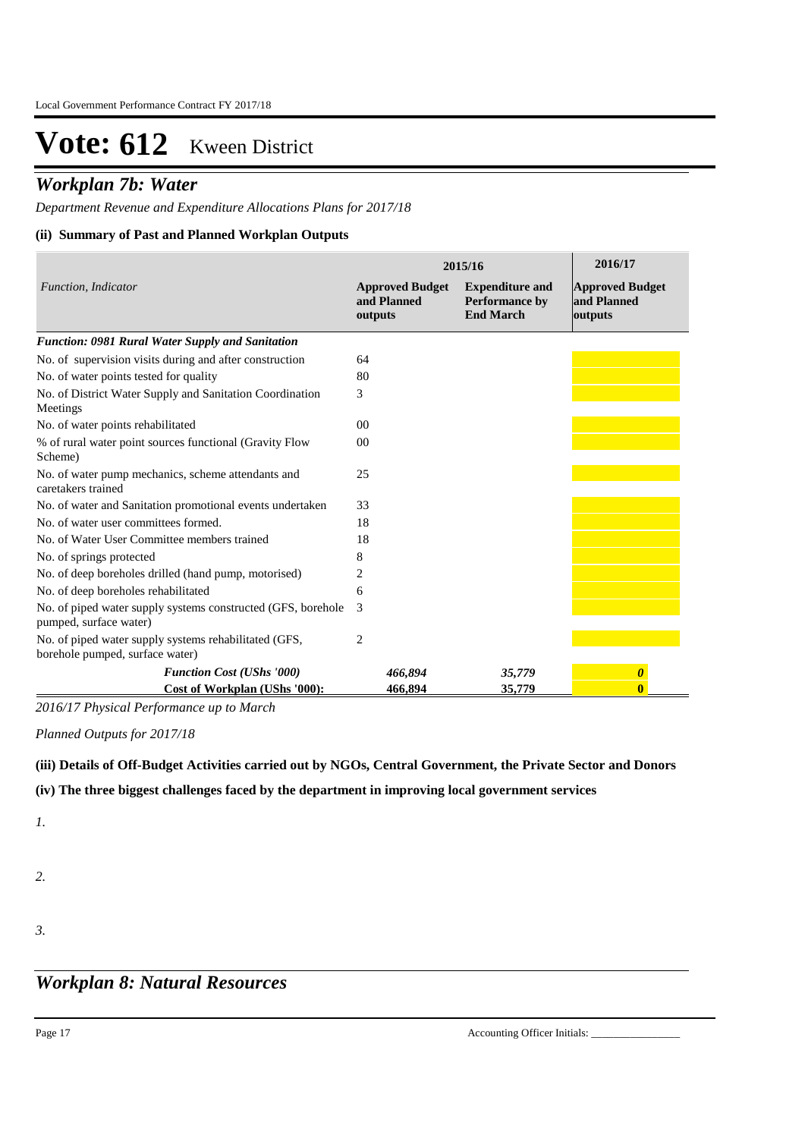## *Workplan 7b: Water*

*Department Revenue and Expenditure Allocations Plans for 2017/18*

### **(ii) Summary of Past and Planned Workplan Outputs**

|                                                                                          | 2015/16                                          | 2016/17                                                             |                                                  |  |
|------------------------------------------------------------------------------------------|--------------------------------------------------|---------------------------------------------------------------------|--------------------------------------------------|--|
| Function, Indicator                                                                      | <b>Approved Budget</b><br>and Planned<br>outputs | <b>Expenditure and</b><br><b>Performance by</b><br><b>End March</b> | <b>Approved Budget</b><br>and Planned<br>outputs |  |
| Function: 0981 Rural Water Supply and Sanitation                                         |                                                  |                                                                     |                                                  |  |
| No. of supervision visits during and after construction                                  | 64                                               |                                                                     |                                                  |  |
| No. of water points tested for quality                                                   | 80                                               |                                                                     |                                                  |  |
| No. of District Water Supply and Sanitation Coordination<br>Meetings                     | 3                                                |                                                                     |                                                  |  |
| No. of water points rehabilitated                                                        | 00 <sup>2</sup>                                  |                                                                     |                                                  |  |
| % of rural water point sources functional (Gravity Flow<br>Scheme)                       | 0 <sub>0</sub>                                   |                                                                     |                                                  |  |
| No. of water pump mechanics, scheme attendants and<br>caretakers trained                 | 25                                               |                                                                     |                                                  |  |
| No. of water and Sanitation promotional events undertaken                                | 33                                               |                                                                     |                                                  |  |
| No. of water user committees formed.                                                     | 18                                               |                                                                     |                                                  |  |
| No. of Water User Committee members trained                                              | 18                                               |                                                                     |                                                  |  |
| No. of springs protected                                                                 | 8                                                |                                                                     |                                                  |  |
| No. of deep boreholes drilled (hand pump, motorised)                                     | 2                                                |                                                                     |                                                  |  |
| No. of deep boreholes rehabilitated                                                      | 6                                                |                                                                     |                                                  |  |
| No. of piped water supply systems constructed (GFS, borehole<br>pumped, surface water)   | 3                                                |                                                                     |                                                  |  |
| No. of piped water supply systems rehabilitated (GFS,<br>borehole pumped, surface water) | $\overline{2}$                                   |                                                                     |                                                  |  |
| <b>Function Cost (UShs '000)</b>                                                         | 466,894                                          | 35,779                                                              | $\boldsymbol{\theta}$                            |  |
| Cost of Workplan (UShs '000):                                                            | 466,894                                          | 35,779                                                              | $\bf{0}$                                         |  |

*2016/17 Physical Performance up to March*

*Planned Outputs for 2017/18* 

**(iii) Details of Off-Budget Activities carried out by NGOs, Central Government, the Private Sector and Donors** 

### **(iv) The three biggest challenges faced by the department in improving local government services**

*1.*

- *2.*
- *3.*

## *Workplan 8: Natural Resources*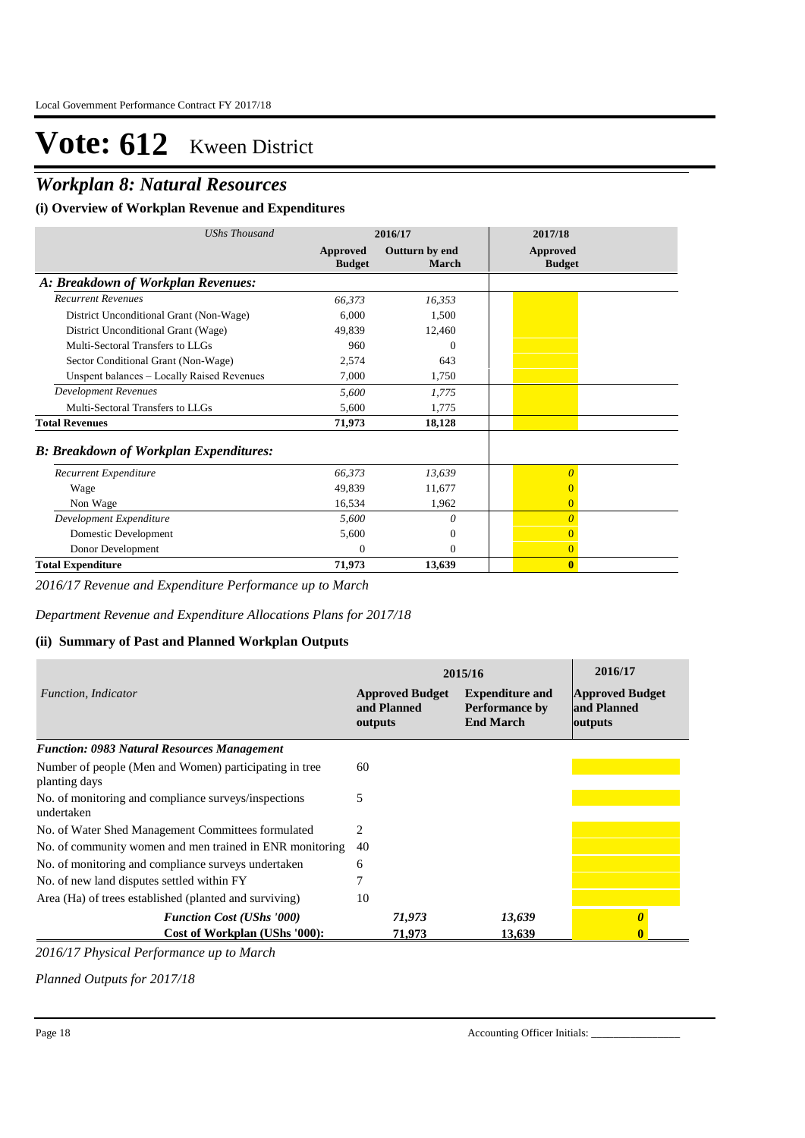## *Workplan 8: Natural Resources*

### **(i) Overview of Workplan Revenue and Expenditures**

| UShs Thousand                                 | 2016/17                   |                         | 2017/18                   |
|-----------------------------------------------|---------------------------|-------------------------|---------------------------|
|                                               | Approved<br><b>Budget</b> | Outturn by end<br>March | Approved<br><b>Budget</b> |
| A: Breakdown of Workplan Revenues:            |                           |                         |                           |
| <b>Recurrent Revenues</b>                     | 66,373                    | 16,353                  |                           |
| District Unconditional Grant (Non-Wage)       | 6,000                     | 1,500                   |                           |
| District Unconditional Grant (Wage)           | 49.839                    | 12,460                  |                           |
| Multi-Sectoral Transfers to LLGs              | 960                       | $\Omega$                |                           |
| Sector Conditional Grant (Non-Wage)           | 2,574                     | 643                     |                           |
| Unspent balances - Locally Raised Revenues    | 7,000                     | 1,750                   |                           |
| <b>Development Revenues</b>                   | 5,600                     | 1,775                   |                           |
| Multi-Sectoral Transfers to LLGs              | 5,600                     | 1,775                   |                           |
| <b>Total Revenues</b>                         | 71,973                    | 18,128                  |                           |
| <b>B: Breakdown of Workplan Expenditures:</b> |                           |                         |                           |
| Recurrent Expenditure                         | 66,373                    | 13,639                  | $\theta$                  |
| Wage                                          | 49,839                    | 11,677                  |                           |
| Non Wage                                      | 16,534                    | 1,962                   | $\overline{0}$            |
| Development Expenditure                       | 5,600                     | 0                       | $\theta$                  |
| Domestic Development                          | 5,600                     | $\Omega$                | 0                         |
| Donor Development                             | $\Omega$                  | $\Omega$                | $\overline{0}$            |
| <b>Total Expenditure</b>                      | 71,973                    | 13,639                  | $\bf{0}$                  |

*2016/17 Revenue and Expenditure Performance up to March*

*Department Revenue and Expenditure Allocations Plans for 2017/18*

### **(ii) Summary of Past and Planned Workplan Outputs**

|                                                                         | 2015/16                                          | 2016/17                                                             |                                                  |
|-------------------------------------------------------------------------|--------------------------------------------------|---------------------------------------------------------------------|--------------------------------------------------|
| Function, Indicator                                                     | <b>Approved Budget</b><br>and Planned<br>outputs | <b>Expenditure and</b><br><b>Performance by</b><br><b>End March</b> | <b>Approved Budget</b><br>and Planned<br>outputs |
| <b>Function: 0983 Natural Resources Management</b>                      |                                                  |                                                                     |                                                  |
| Number of people (Men and Women) participating in tree<br>planting days | 60                                               |                                                                     |                                                  |
| No. of monitoring and compliance surveys/inspections<br>undertaken      | 5                                                |                                                                     |                                                  |
| No. of Water Shed Management Committees formulated                      | 2                                                |                                                                     |                                                  |
| No. of community women and men trained in ENR monitoring                | 40                                               |                                                                     |                                                  |
| No. of monitoring and compliance surveys undertaken                     | 6                                                |                                                                     |                                                  |
| No. of new land disputes settled within FY                              |                                                  |                                                                     |                                                  |
| Area (Ha) of trees established (planted and surviving)                  | 10                                               |                                                                     |                                                  |
| <b>Function Cost (UShs '000)</b>                                        | 71,973                                           | 13,639                                                              |                                                  |
| Cost of Workplan (UShs '000):                                           | 71,973                                           | 13,639                                                              |                                                  |

*2016/17 Physical Performance up to March*

*Planned Outputs for 2017/18*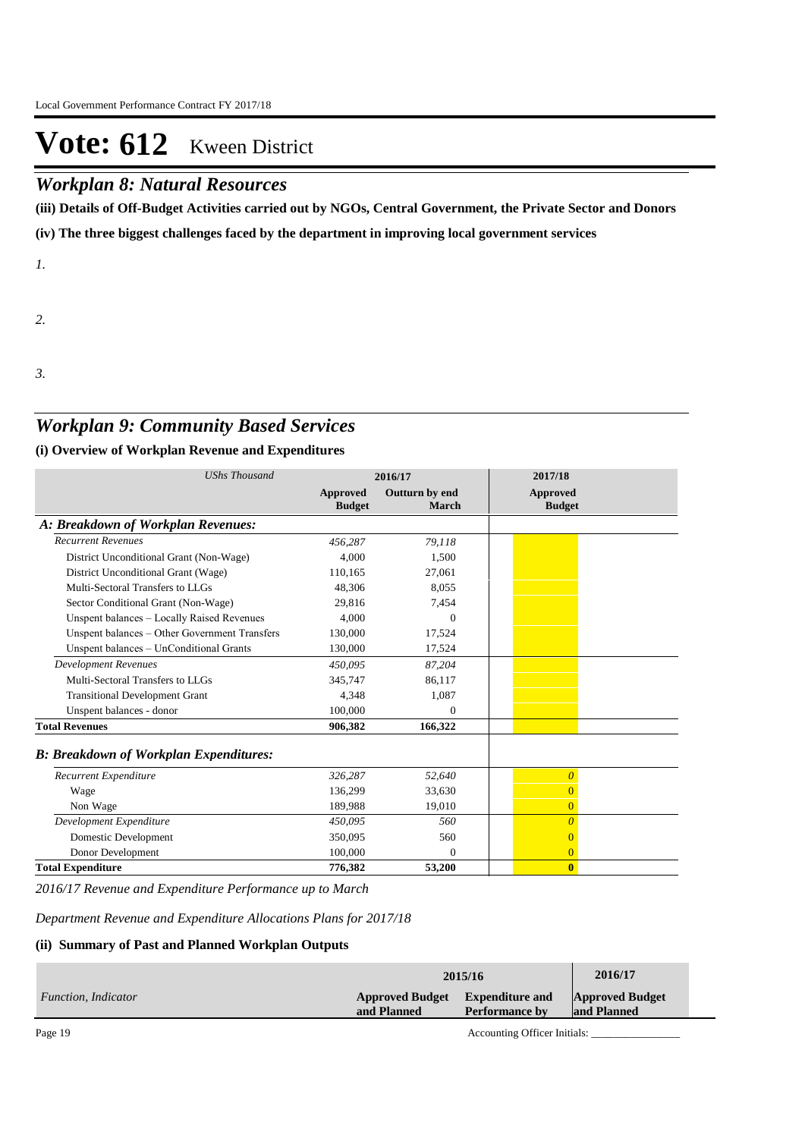## *Workplan 8: Natural Resources*

**(iii) Details of Off-Budget Activities carried out by NGOs, Central Government, the Private Sector and Donors** 

**(iv) The three biggest challenges faced by the department in improving local government services**

*1.*

*2.*

*3.*

## *Workplan 9: Community Based Services*

### **(i) Overview of Workplan Revenue and Expenditures**

| <b>UShs Thousand</b>                          | 2016/17                          |                                | 2017/18                          |
|-----------------------------------------------|----------------------------------|--------------------------------|----------------------------------|
|                                               | <b>Approved</b><br><b>Budget</b> | Outturn by end<br><b>March</b> | <b>Approved</b><br><b>Budget</b> |
| A: Breakdown of Workplan Revenues:            |                                  |                                |                                  |
| <b>Recurrent Revenues</b>                     | 456,287                          | 79,118                         |                                  |
| District Unconditional Grant (Non-Wage)       | 4.000                            | 1,500                          |                                  |
| District Unconditional Grant (Wage)           | 110,165                          | 27,061                         |                                  |
| Multi-Sectoral Transfers to LLGs              | 48,306                           | 8.055                          |                                  |
| Sector Conditional Grant (Non-Wage)           | 29,816                           | 7,454                          |                                  |
| Unspent balances - Locally Raised Revenues    | 4.000                            | $\Omega$                       |                                  |
| Unspent balances - Other Government Transfers | 130,000                          | 17,524                         |                                  |
| Unspent balances - UnConditional Grants       | 130,000                          | 17,524                         |                                  |
| <b>Development Revenues</b>                   | 450,095                          | 87,204                         |                                  |
| Multi-Sectoral Transfers to LLGs              | 345,747                          | 86,117                         |                                  |
| <b>Transitional Development Grant</b>         | 4,348                            | 1,087                          |                                  |
| Unspent balances - donor                      | 100,000                          | $\Omega$                       |                                  |
| <b>Total Revenues</b>                         | 906,382                          | 166,322                        |                                  |
| <b>B: Breakdown of Workplan Expenditures:</b> |                                  |                                |                                  |
| Recurrent Expenditure                         | 326,287                          | 52,640                         | $\overline{\theta}$              |
| Wage                                          | 136,299                          | 33,630                         | $\overline{0}$                   |
| Non Wage                                      | 189.988                          | 19,010                         | $\overline{0}$                   |
| Development Expenditure                       | 450,095                          | 560                            | $\overline{0}$                   |
| Domestic Development                          | 350,095                          | 560                            | $\overline{0}$                   |
| Donor Development                             | 100,000                          | $\Omega$                       | $\overline{0}$                   |
| <b>Total Expenditure</b>                      | 776.382                          | 53,200                         | $\mathbf{0}$                     |

*2016/17 Revenue and Expenditure Performance up to March*

*Department Revenue and Expenditure Allocations Plans for 2017/18*

### **(ii) Summary of Past and Planned Workplan Outputs**

|                     | 2015/16                                        | 2016/17               |                                       |  |
|---------------------|------------------------------------------------|-----------------------|---------------------------------------|--|
| Function, Indicator | Approved Budget Expenditure and<br>and Planned | <b>Performance by</b> | <b>Approved Budget</b><br>and Planned |  |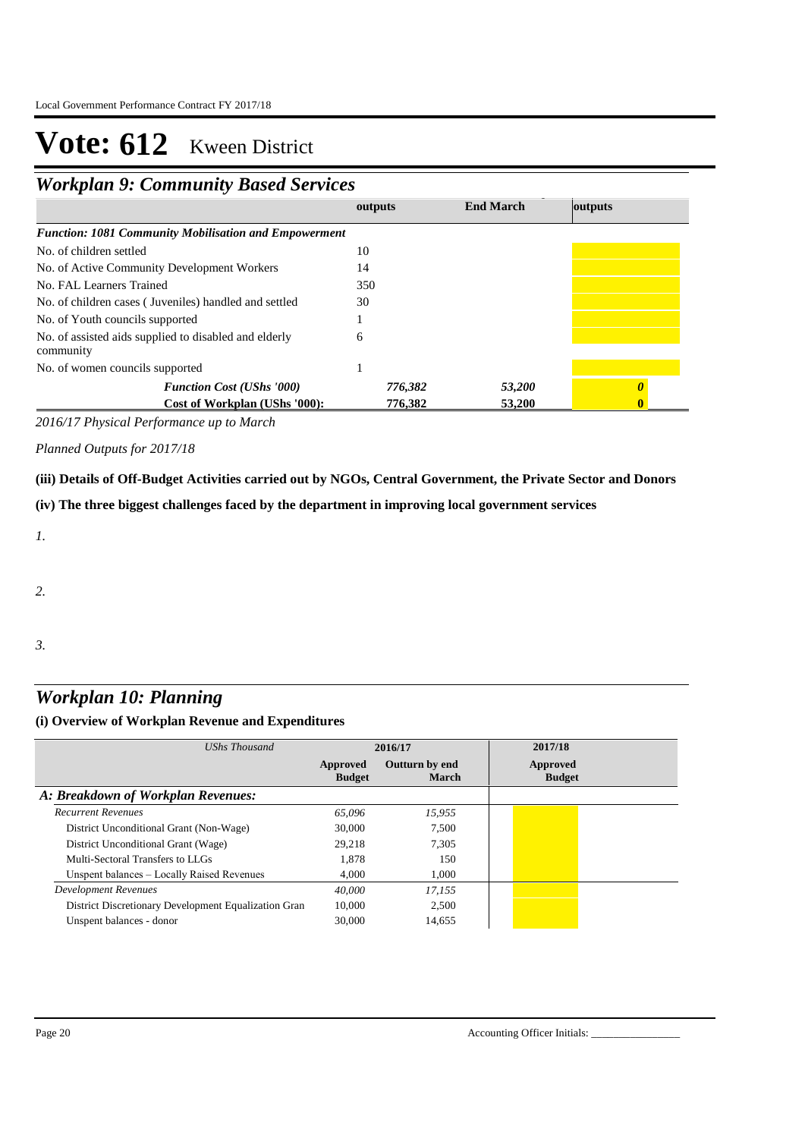## *Workplan 9: Community Based Services* **End March outputs**

| <b>Function: 1081 Community Mobilisation and Empowerment</b>       |         |        |  |
|--------------------------------------------------------------------|---------|--------|--|
| No. of children settled                                            | 10      |        |  |
| No. of Active Community Development Workers                        | 14      |        |  |
| No. FAL Learners Trained                                           | 350     |        |  |
| No. of children cases (Juveniles) handled and settled              | 30      |        |  |
| No. of Youth councils supported                                    |         |        |  |
| No. of assisted aids supplied to disabled and elderly<br>community | 6       |        |  |
| No. of women councils supported                                    |         |        |  |
| <b>Function Cost (UShs '000)</b>                                   | 776,382 | 53,200 |  |
| Cost of Workplan (UShs '000):                                      | 776,382 | 53,200 |  |

*2016/17 Physical Performance up to March*

*Planned Outputs for 2017/18* 

**(iii) Details of Off-Budget Activities carried out by NGOs, Central Government, the Private Sector and Donors** 

**(iv) The three biggest challenges faced by the department in improving local government services**

*1.*

*2.*

*3.*

## *Workplan 10: Planning*

### **(i) Overview of Workplan Revenue and Expenditures**

| UShs Thousand                                        | 2016/17                   |                                | 2017/18                   |
|------------------------------------------------------|---------------------------|--------------------------------|---------------------------|
|                                                      | Approved<br><b>Budget</b> | Outturn by end<br><b>March</b> | Approved<br><b>Budget</b> |
| A: Breakdown of Workplan Revenues:                   |                           |                                |                           |
| <b>Recurrent Revenues</b>                            | 65.096                    | 15.955                         |                           |
| District Unconditional Grant (Non-Wage)              | 30,000                    | 7.500                          |                           |
| District Unconditional Grant (Wage)                  | 29.218                    | 7.305                          |                           |
| Multi-Sectoral Transfers to LLGs                     | 1.878                     | 150                            |                           |
| Unspent balances – Locally Raised Revenues           | 4.000                     | 1.000                          |                           |
| Development Revenues                                 | 40,000                    | 17.155                         |                           |
| District Discretionary Development Equalization Gran | 10,000                    | 2.500                          |                           |
| Unspent balances - donor                             | 30,000                    | 14,655                         |                           |

**outputs**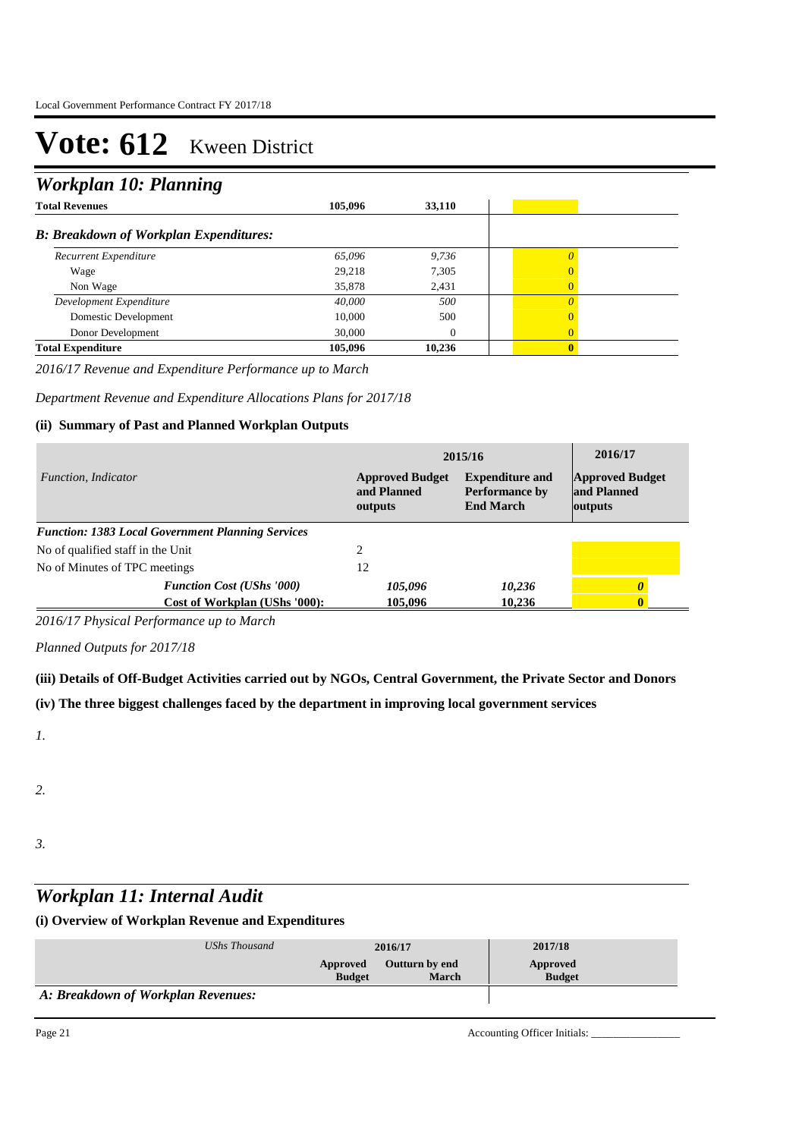## *Workplan 10: Planning*

| <b>Total Revenues</b>                         | 105.096 | 33,110 |                |
|-----------------------------------------------|---------|--------|----------------|
| <b>B: Breakdown of Workplan Expenditures:</b> |         |        |                |
| Recurrent Expenditure                         | 65,096  | 9,736  |                |
| Wage                                          | 29,218  | 7,305  | $\Omega$       |
| Non Wage                                      | 35,878  | 2,431  | $\overline{0}$ |
| Development Expenditure                       | 40,000  | 500    | $\Omega$       |
| Domestic Development                          | 10.000  | 500    | $\Omega$       |
| Donor Development                             | 30,000  | 0      | $\overline{0}$ |
| <b>Total Expenditure</b>                      | 105,096 | 10,236 | $\mathbf{0}$   |

*2016/17 Revenue and Expenditure Performance up to March*

*Department Revenue and Expenditure Allocations Plans for 2017/18*

### **(ii) Summary of Past and Planned Workplan Outputs**

|                                                          | 2015/16                                          | 2016/17                                                             |                                                  |
|----------------------------------------------------------|--------------------------------------------------|---------------------------------------------------------------------|--------------------------------------------------|
| Function, Indicator                                      | <b>Approved Budget</b><br>and Planned<br>outputs | <b>Expenditure and</b><br><b>Performance by</b><br><b>End March</b> | <b>Approved Budget</b><br>and Planned<br>outputs |
| <b>Function: 1383 Local Government Planning Services</b> |                                                  |                                                                     |                                                  |
| No of qualified staff in the Unit                        |                                                  |                                                                     |                                                  |
| No of Minutes of TPC meetings                            | 12                                               |                                                                     |                                                  |
| <b>Function Cost (UShs '000)</b>                         | 105,096                                          | 10,236                                                              |                                                  |
| Cost of Workplan (UShs '000):                            | 105.096                                          | 10.236                                                              |                                                  |

*2016/17 Physical Performance up to March*

*Planned Outputs for 2017/18* 

**(iii) Details of Off-Budget Activities carried out by NGOs, Central Government, the Private Sector and Donors** 

**(iv) The three biggest challenges faced by the department in improving local government services**

*1.*

*2.*

*3.*

## *Workplan 11: Internal Audit*

#### **(i) Overview of Workplan Revenue and Expenditures**

| UShs Thousand                      | 2016/17                   |                                       | 2017/18                   |
|------------------------------------|---------------------------|---------------------------------------|---------------------------|
|                                    | Approved<br><b>Budget</b> | <b>Outturn by end</b><br><b>March</b> | Approved<br><b>Budget</b> |
| A: Breakdown of Workplan Revenues: |                           |                                       |                           |